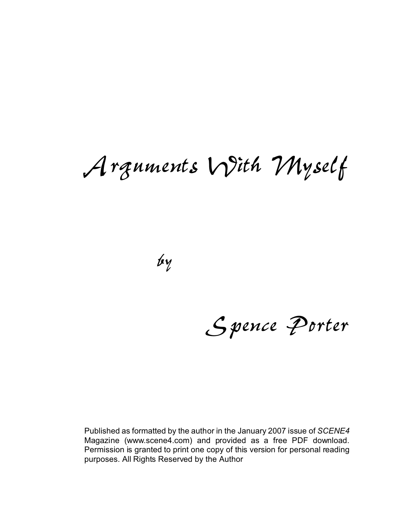# *Arguments With Myself*

*by*

*Spence Porter*

Published as formatted by the author in the January 2007 issue of *SCENE4* Magazine (www.scene4.com) and provided as a free PDF download. Permission is granted to print one copy of this version for personal reading purposes. All Rights Reserved by the Author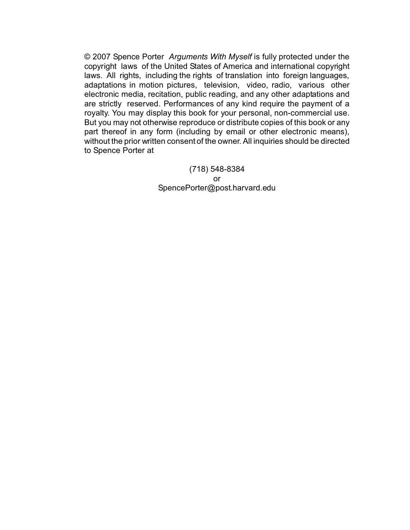© 2007 Spence Porter *Arguments With Myself* is fully protected under the copyright laws of the United States of America and international copyright laws. All rights, including the rights of translation into foreign languages, adaptations in motion pictures, television, video, radio, various other electronic media, recitation, public reading, and any other adaptations and are strictly reserved. Performances of any kind require the payment of a royalty. You may display this book for your personal, non-commercial use. But you may not otherwise reproduce or distribute copies of this book or any part thereof in any form (including by email or other electronic means), without the prior written consent of the owner. All inquiries should be directed to Spence Porter at

> (718) 548-8384 or SpencePorter@post.harvard.edu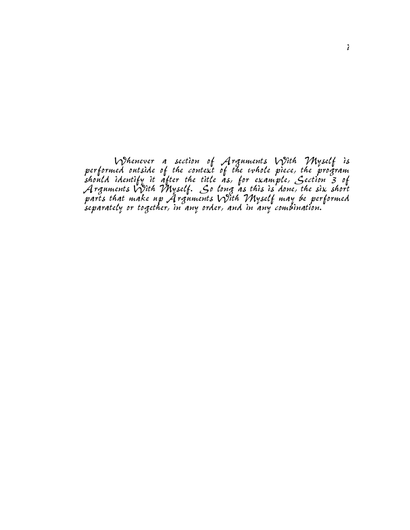*Whenever a section of Arguments With Myself is performed outside of the context of the whole piece, the program should identify it after the title as, for example, Section 3 of Arguments With Myself. So long as this is done, the six short parts that make up Arguments With Myself may be performed separately or together, in any order, and in any combination.*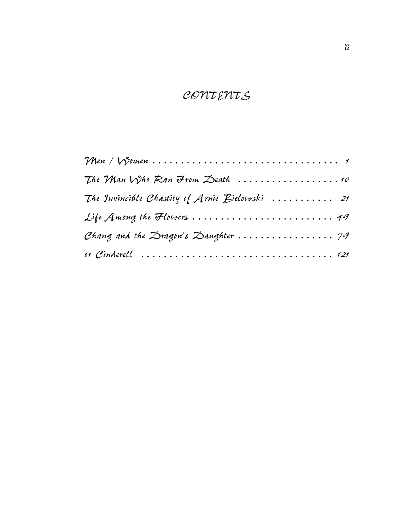## *CONTENTS*

| The VMan $N$ ho Ran From Zeath $\ldots \ldots \ldots \ldots \ldots \ldots$ |
|----------------------------------------------------------------------------|
| The Invincible Chastity of Arnie Bielowski $\ldots \ldots \ldots$ 21       |
| Life Among the Flowers  49                                                 |
|                                                                            |
|                                                                            |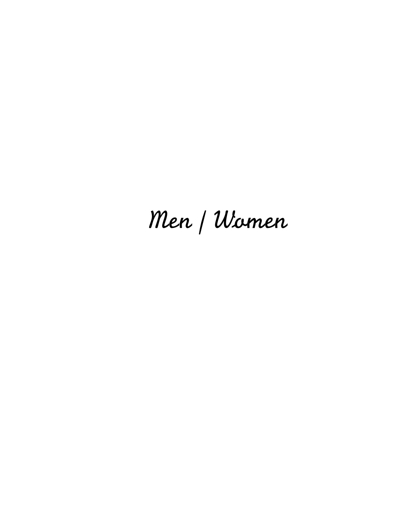# *Men / Women*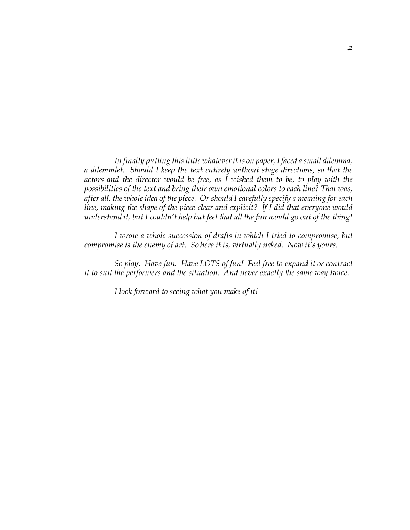*In finally putting this little whatever it is on paper, I faced a small dilemma, a dilemmlet: Should I keep the text entirely without stage directions, so that the actors and the director would be free, as I wished them to be, to play with the possibilities of the text and bring their own emotional colors to each line? That was, after all, the whole idea of the piece. Or should I carefully specify a meaning for each line, making the shape of the piece clear and explicit? If I did that everyone would understand it, but I couldn't help but feel that all the fun would go out of the thing!*

*I wrote a whole succession of drafts in which I tried to compromise, but compromise is the enemy of art. So here it is, virtually naked. Now it's yours.*

*So play. Have fun. Have LOTS of fun! Feel free to expand it or contract it to suit the performers and the situation. And never exactly the same way twice.*

*I look forward to seeing what you make of it!*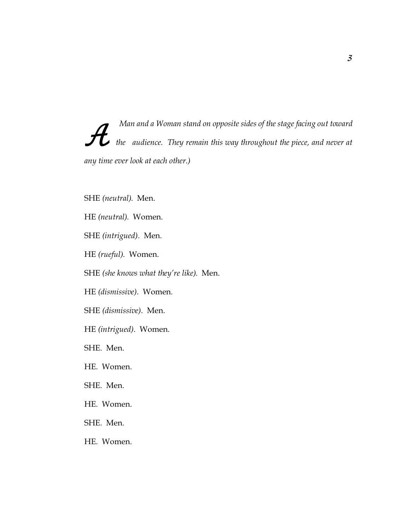*A Man and a Woman stand on opposite sides of the stage facing out toward the audience. They remain this way throughout the piece, and never at any time ever look at each other.)*

SHE *(neutral)*. Men.

HE *(neutral)*. Women.

SHE *(intrigued)*. Men.

HE *(rueful)*. Women.

SHE *(she knows what they're like)*. Men.

HE *(dismissive)*. Women.

SHE *(dismissive)*. Men.

HE *(intrigued)*. Women.

SHE. Men.

HE. Women.

SHE. Men.

HE. Women.

SHE. Men.

HE. Women.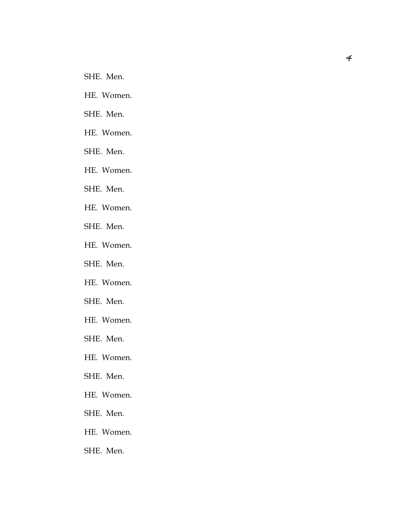SHE. Men.

HE. Women.

SHE. Men.

HE. Women.

SHE. Men.

HE. Women.

SHE. Men.

HE. Women.

SHE. Men.

HE. Women.

SHE. Men.

HE. Women.

SHE. Men.

HE. Women.

SHE. Men.

HE. Women.

SHE. Men.

HE. Women.

SHE. Men.

HE. Women.

SHE. Men.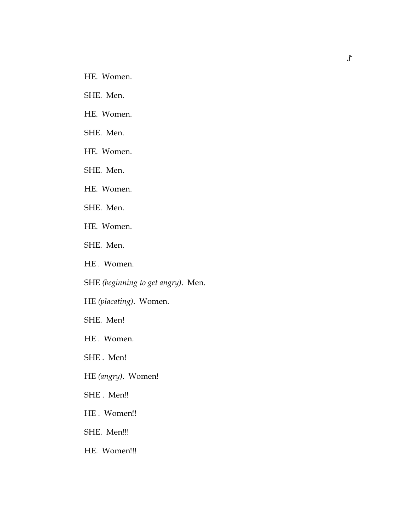- HE. Women.
- SHE. Men.
- HE. Women.
- SHE. Men.
- HE. Women.
- SHE. Men.
- HE. Women.
- SHE. Men.
- HE. Women.
- SHE. Men.
- HE . Women.
- SHE *(beginning to get angry)*. Men.
- HE *(placating)*. Women.
- SHE. Men!
- HE . Women.
- SHE . Men!
- HE *(angry)*. Women!
- SHE. Men!!
- HE . Women!!
- SHE. Men!!!
- HE. Women!!!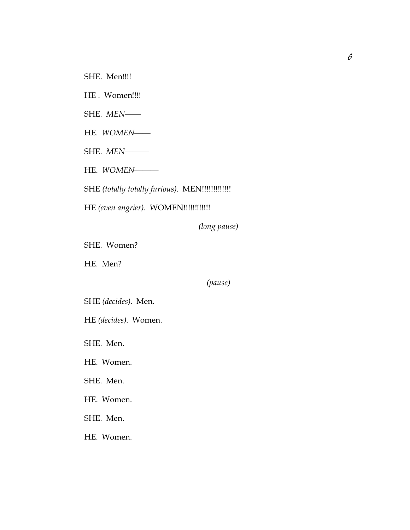SHE. Men!!!!

HE. Women!!!!

SHE. *MEN*——

HE. *WOMEN*——

SHE. *MEN*———

HE. *WOMEN*———

SHE *(totally totally furious)*. MEN!!!!!!!!!!!!!

HE (even angrier). WOMEN!!!!!!!!!!!!!!

*(long pause)*

SHE. Women?

HE. Men?

*(pause)*

SHE *(decides)*. Men.

HE *(decides)*. Women.

SHE. Men.

HE. Women.

SHE. Men.

HE. Women.

SHE. Men.

HE. Women.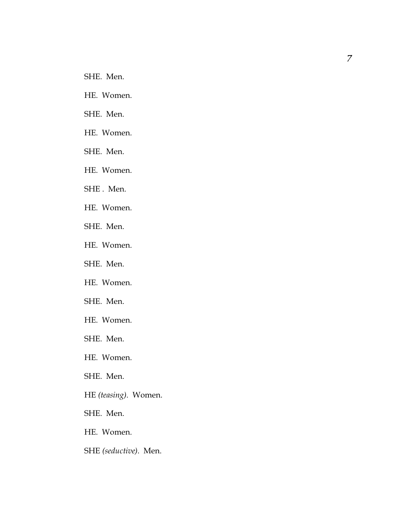SHE. Men.

HE. Women.

SHE. Men.

HE. Women.

SHE. Men.

HE. Women.

SHE . Men.

HE. Women.

SHE. Men.

HE. Women.

SHE. Men.

HE. Women.

SHE. Men.

HE. Women.

SHE. Men.

HE. Women.

SHE. Men.

HE *(teasing)*. Women.

SHE. Men.

HE. Women.

SHE *(seductive)*. Men.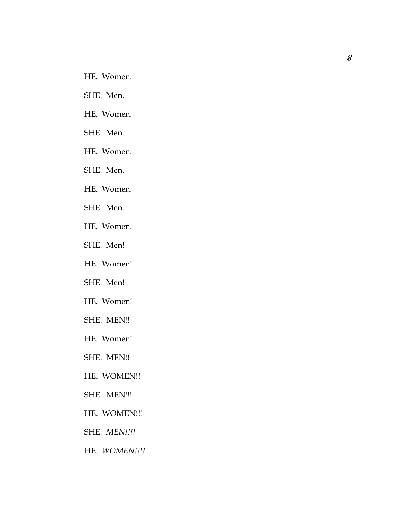- HE. Women.
- SHE. Men.
- HE. Women.
- SHE. Men.
- HE. Women.
- SHE. Men.
- HE. Women.
- SHE. Men.
- HE. Women.
- SHE. Men!
- HE. Women!
- SHE. Men!
- HE. Women!
- SHE. MEN‼
- HE. Women!
- SHE. MEN‼
- HE. WOMEN!!
- SHE. MEN!!!
- HE. WOMEN!!!
- SHE. *MEN!!!!*
- HE. *WOMEN!!!!*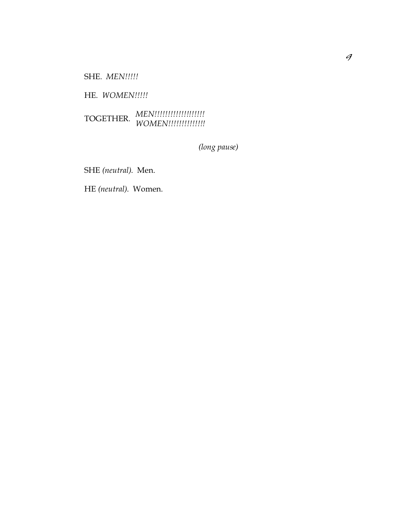SHE. *MEN!!!!!*

HE. *WOMEN!!!!!*

# *MEN!!!!!!!!!!!!!!!!!!!* TOGETHER. *WOMEN!!!!!!!!!!!!!!*

*(long pause)*

SHE *(neutral)*. Men.

HE *(neutral)*. Women.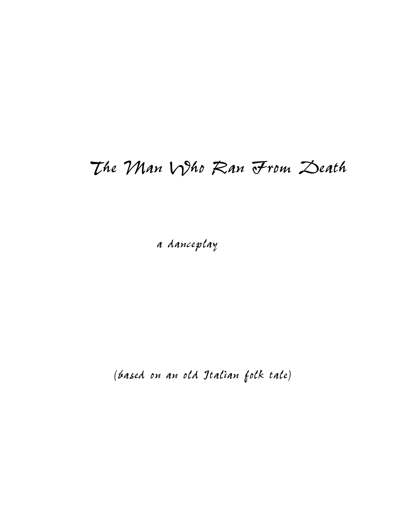## *The Man Who Ran From Death*

*a danceplay*

*(based on an old Italian folk tale)*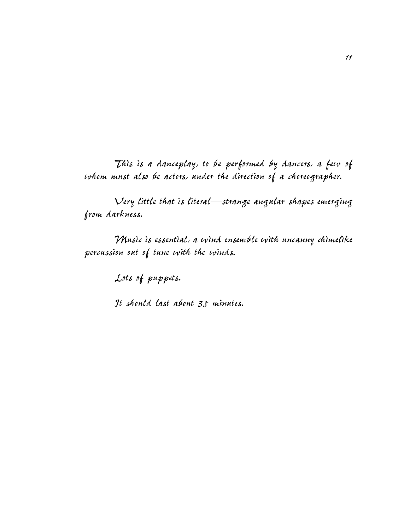*This is a danceplay, to be performed by dancers, a few of whom must also be actors, under the direction of a choreographer.* 

*Very little that is literal—strange angular shapes emerging from darkness.* 

*Music is essential, a wind ensemble with uncanny chimelike percussion out of tune with the winds.*

*Lots of puppets.*

*It should last about 35 minutes.*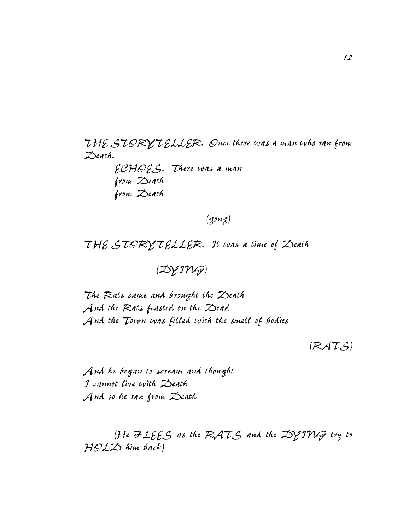*THE STORYTELLER. Once there was a man who ran from Death.*

> *ECHOES. There was a man from Death from Death*

> > *(gong)*

*THE STORYTELLER. It was a time of Death*

*(DYING)*

*The Rats came and brought the Death And the Rats feasted on the Dead And the Town was filled with the smell of bodies*

*(RATS)*

*And he began to scream and thought I cannot live with Death And so he ran from Death*

*(He FLEES as the RATS and the DYING try to HOLD him back)*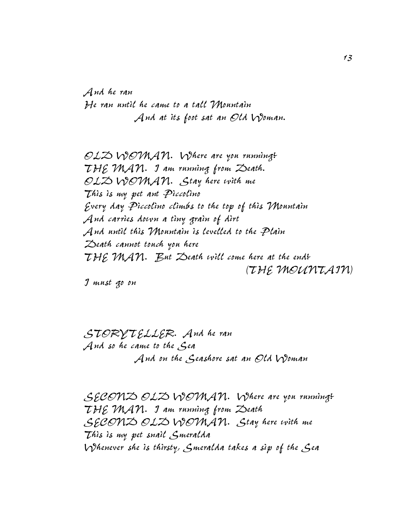*And he ran He ran until he came to a tall Mountain And at its foot sat an Old Woman.*

*OLD WOMAN. Where are you running? THE MAN. I am running from Death. OLD WOMAN. Stay here with me This is my pet ant Piccolino Every day Piccolino climbs to the top of this Mountain And carries down a tiny grain of dirt And until this Mountain is levelled to the Plain Death cannot touch you here THE MAN. But Death will come here at the end? (THE MOUNTAIN)*

*I must go on*

*STORYTELLER. And he ran And so he came to the Sea And on the Seashore sat an Old Woman*

*SECOND OLD WOMAN. Where are you running? THE MAN. I am running from Death SECOND OLD WOMAN. Stay here with me This is my pet snail Smeralda Whenever she is thirsty, Smeralda takes a sip of the Sea*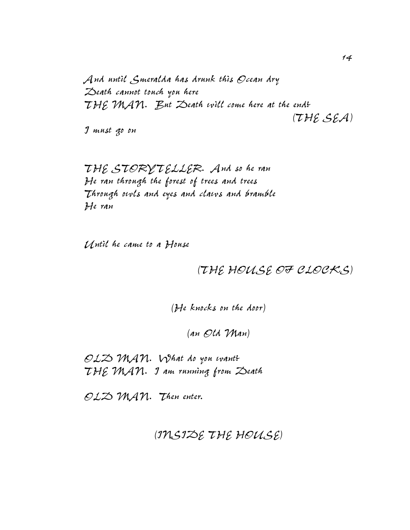*And until Smeralda has drunk this Ocean dry Death cannot touch you here THE MAN. But Death will come here at the end? (THE SEA)*

*I must go on*

*THE STORYTELLER. And so he ran He ran through the forest of trees and trees Through owls and eyes and claws and bramble He ran*

*Until he came to a House*

*(THE HOUSE OF CLOCKS)*

*(He knocks on the door)*

*(an Old Man)*

*OLD MAN. What do you want? THE MAN. I am running from Death*

*OLD MAN. Then enter.*

*(INSIDE THE HOUSE)*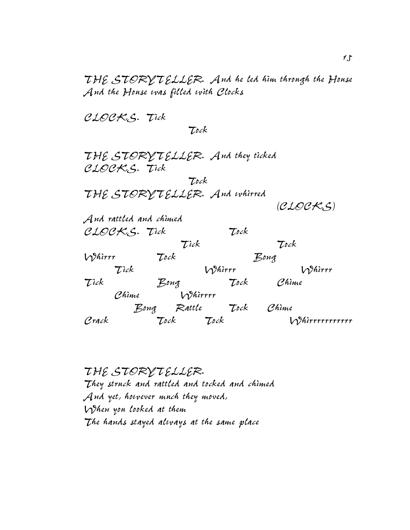*THE STORYTELLER. And he led him through the House And the House was filled with Clocks*

*CLOCKS. Tick*

 *Tock*

*THE STORYTELLER. And they ticked CLOCKS. Tick Tock THE STORYTELLER. And whirred (CLOCKS) And rattled and chimed CLOCKS. Tick Tock Tick Tock Whirrr Tock Bong Tick Whirrr Whirrr Tick Bong Tock Chime Chime Whirrrr Bong Rattle Tock Chime Crack Tock Tock Whirrrrrrrrrrr*

*THE STORYTELLER. They struck and rattled and tocked and chimed And yet, however much they moved, When you looked at them The hands stayed always at the same place*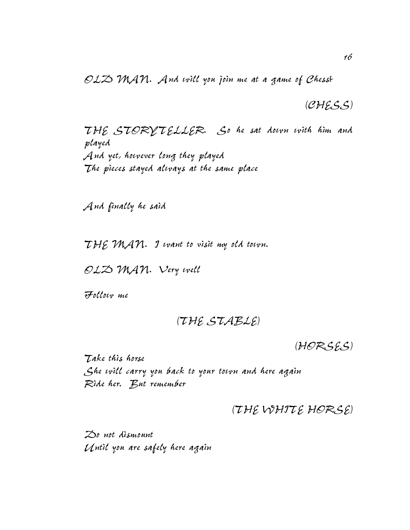*OLD MAN. And will you join me at a game of Chess?*

*(CHESS)*

*THE STORYTELLER. So he sat down with him and played And yet, however long they played The pieces stayed always at the same place*

*And finally he said*

*THE MAN. I want to visit my old town.*

*OLD MAN. Very well*

*Follow me*

*(THE STABLE)*

*(HORSES)*

*Take this horse She will carry you back to your town and here again Ride her. But remember*

## *(THE WHITE HORSE)*

*Do not dismount Until you are safely here again*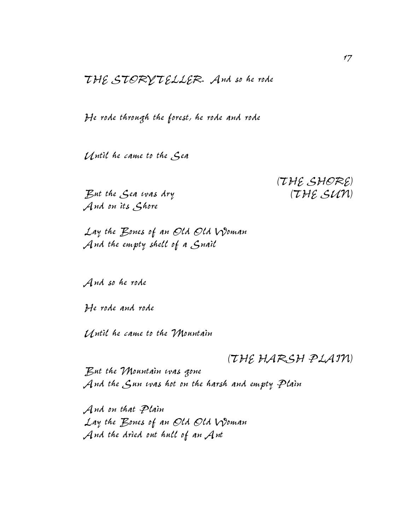*THE STORYTELLER. And so he rode*

*He rode through the forest, he rode and rode*

*Until he came to the Sea*

*But the Sea was dry (THE SUN) And on its Shore*

*(THE SHORE)*

*Lay the Bones of an Old Old Woman And the empty shell of a Snail*

*And so he rode*

*He rode and rode*

*Until he came to the Mountain*

*(THE HARSH PLAIN)*

*But the Mountain was gone And the Sun was hot on the harsh and empty Plain*

*And on that Plain Lay the Bones of an Old Old Woman And the dried out hull of an Ant*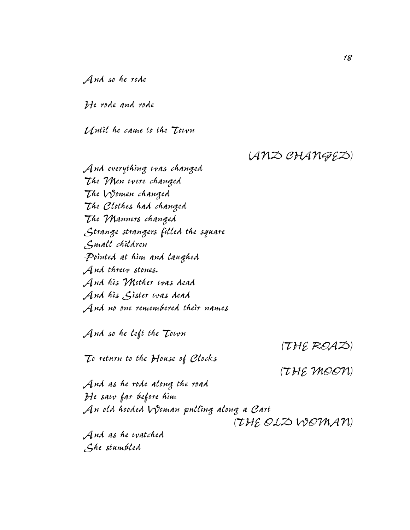*And so he rode*

*He rode and rode*

*Until he came to the Town*

### *(AND CHANGED)*

*And everything was changed The Men were changed The Women changed The Clothes had changed The Manners changed Strange strangers filled the square Small children Pointed at him and laughed And threw stones. And his Mother was dead And his Sister was dead And no one remembered their names*

*And so he left the Town*

*To return to the House of Clocks*

*(THE ROAD)*

*(THE MOON)*

*And as he rode along the road He saw far before him An old hooded Woman pulling along a Cart (THE OLD WOMAN) And as he watched*

*She stumbled*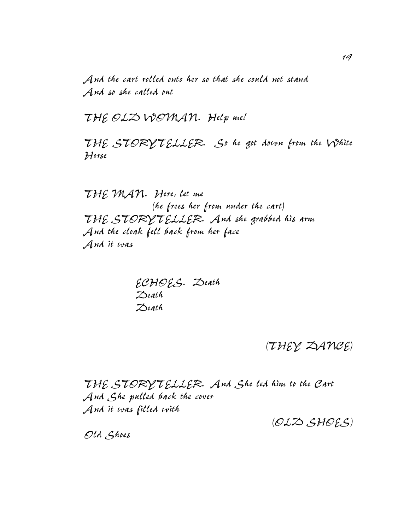*And the cart rolled onto her so that she could not stand And so she called out*

*THE OLD WOMAN. Help me!*

*THE STORYTELLER. So he got down from the White Horse*

*THE MAN. Here, let me (he frees her from under the cart) THE STORYTELLER. And she grabbed his arm And the cloak fell back from her face And it was*

> *ECHOES. Death Death Death*

> > *(THEY DANCE)*

*THE STORYTELLER. And She led him to the Cart And She pulled back the cover And it was filled with*

*(OLD SHOES)*

*Old Shoes*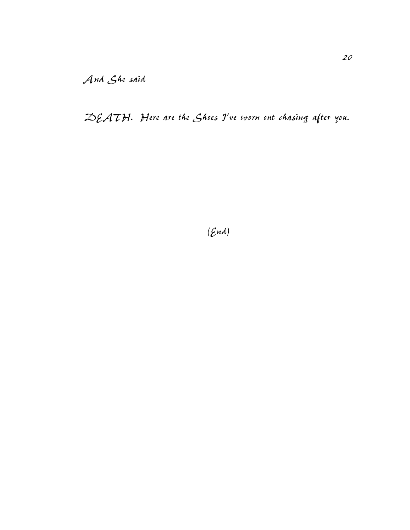*DEATH. Here are the Shoes I've worn out chasing after you.*

*(End)*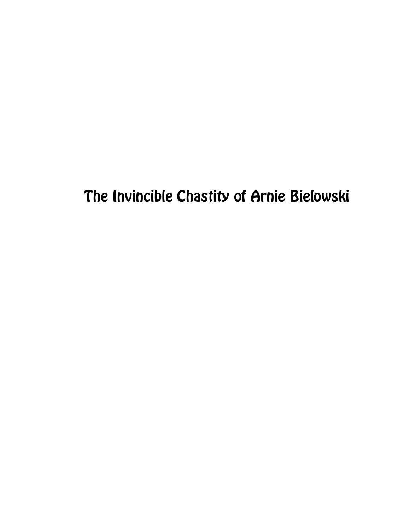The Invincible Chastity of Arnie Bielowski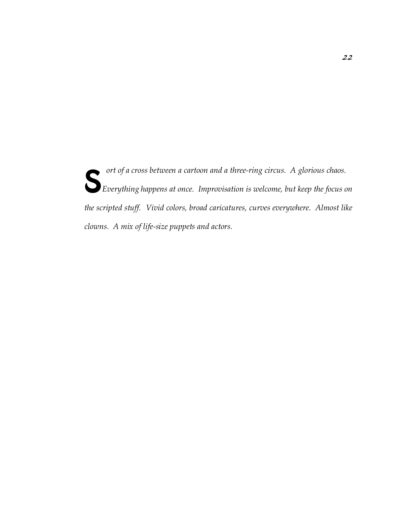**S** *ort of a cross between a cartoon and a three-ring circus. A glorious chaos.*<br>Everything happens at once. Improvisation is welcome, but keep the focus o *Everything happens at once. Improvisation is welcome, but keep the focus on the scripted stuff. Vivid colors, broad caricatures, curves everywhere. Almost like clowns. A mix of life-size puppets and actors.*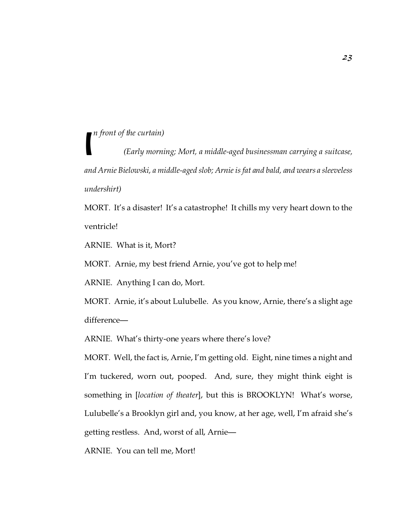*n front of the curtain)*

I *(Early morning; Mort, a middle-aged businessman carrying a suitcase, and Arnie Bielowski, a middle-aged slob; Arnie is fat and bald, and wears a sleeveless undershirt)*

MORT. It's a disaster! It's a catastrophe! It chills my very heart down to the ventricle!

ARNIE. What is it, Mort?

MORT. Arnie, my best friend Arnie, you've got to help me!

ARNIE. Anything I can do, Mort.

MORT. Arnie, it's about Lulubelle. As you know, Arnie, there's a slight age difference—

ARNIE. What's thirty-one years where there's love?

MORT. Well, the fact is, Arnie, I'm getting old. Eight, nine times a night and I'm tuckered, worn out, pooped. And, sure, they might think eight is something in [*location of theater*], but this is BROOKLYN! What's worse, Lulubelle's a Brooklyn girl and, you know, at her age, well, I'm afraid she's getting restless. And, worst of all, Arnie—

ARNIE. You can tell me, Mort!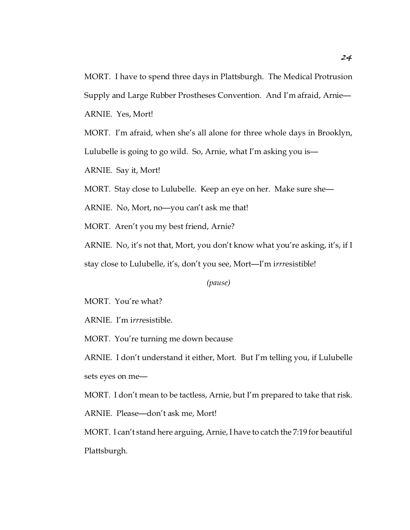MORT. I have to spend three days in Plattsburgh. The Medical Protrusion Supply and Large Rubber Prostheses Convention. And I'm afraid, Arnie— ARNIE. Yes, Mort!

MORT. I'm afraid, when she's all alone for three whole days in Brooklyn, Lulubelle is going to go wild. So, Arnie, what I'm asking you is—

ARNIE. Say it, Mort!

MORT. Stay close to Lulubelle. Keep an eye on her. Make sure she—

ARNIE. No, Mort, no—you can't ask me that!

MORT. Aren't you my best friend, Arnie?

ARNIE. No, it's not that, Mort, you don't know what you're asking, it's, if I stay close to Lulubelle, it's, don't you see, Mort—I'm i*rrr*esistible!

*(pause)*

MORT. You're what?

ARNIE. I'm i*rrr*esistible.

MORT. You're turning me down because

ARNIE. I don't understand it either, Mort. But I'm telling you, if Lulubelle sets eyes on me—

MORT. I don't mean to be tactless, Arnie, but I'm prepared to take that risk.

ARNIE. Please—don't ask me, Mort!

MORT. I can't stand here arguing, Arnie, I have to catch the 7:19 for beautiful Plattsburgh.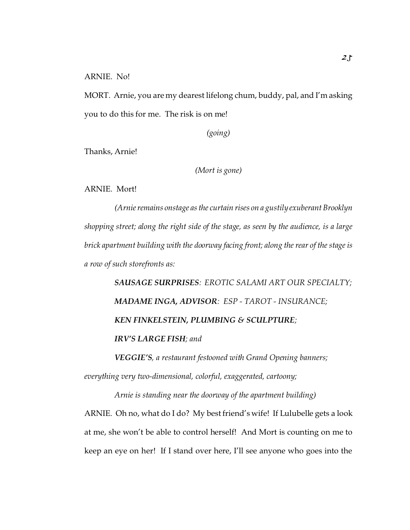MORT. Arnie, you are my dearest lifelong chum, buddy, pal, and I'm asking you to do this for me. The risk is on me!

*(going)*

Thanks, Arnie!

*(Mort is gone)*

ARNIE. Mort!

*(Arnie remains onstage as the curtain rises on a gustily exuberant Brooklyn shopping street; along the right side of the stage, as seen by the audience, is a large brick apartment building with the doorway facing front; along the rear of the stage is a row of such storefronts as:*

*SAUSAGE SURPRISES: EROTIC SALAMI ART OUR SPECIALTY; MADAME INGA, ADVISOR: ESP - TAROT - INSURANCE; KEN FINKELSTEIN, PLUMBING & SCULPTURE; IRV'S LARGE FISH; and*

*VEGGIE'S, a restaurant festooned with Grand Opening banners;*

*everything very two-dimensional, colorful, exaggerated, cartoony;*

*Arnie is standing near the doorway of the apartment building)* ARNIE. Oh no, what do I do? My best friend's wife! If Lulubelle gets a look at me, she won't be able to control herself! And Mort is counting on me to keep an eye on her! If I stand over here, I'll see anyone who goes into the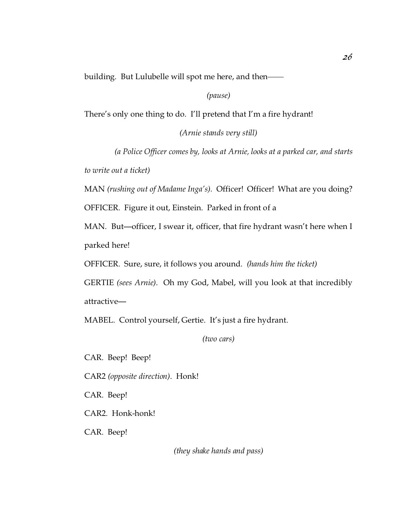building. But Lulubelle will spot me here, and then——

*(pause)*

There's only one thing to do. I'll pretend that I'm a fire hydrant!

*(Arnie stands very still)*

*(a Police Officer comes by, looks at Arnie, looks at a parked car, and starts to write out a ticket)*

MAN *(rushing out of Madame Inga's).* Officer! Officer! What are you doing?

OFFICER. Figure it out, Einstein. Parked in front of a

MAN. But—officer, I swear it, officer, that fire hydrant wasn't here when I parked here!

OFFICER. Sure, sure, it follows you around. *(hands him the ticket)*

GERTIE *(sees Arnie)*. Oh my God, Mabel, will you look at that incredibly attractive—

MABEL. Control yourself, Gertie. It's just a fire hydrant.

*(two cars)*

CAR. Beep! Beep!

CAR2 *(opposite direction)*. Honk!

CAR. Beep!

CAR2. Honk-honk!

CAR. Beep!

*(they shake hands and pass)*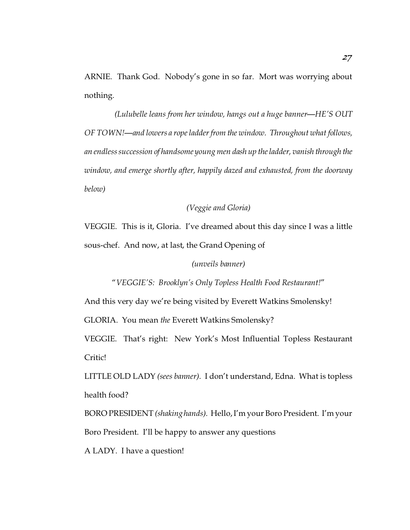ARNIE. Thank God. Nobody's gone in so far. Mort was worrying about nothing.

*(Lulubelle leans from her window, hangs out a huge banner—HE'S OUT OF TOWN!—and lowers a rope ladder from the window. Throughout what follows, an endless succession of handsome young men dash up the ladder, vanish through the window, and emerge shortly after, happily dazed and exhausted, from the doorway below)*

### *(Veggie and Gloria)*

VEGGIE. This is it, Gloria. I've dreamed about this day since I was a little sous-chef. And now, at last, the Grand Opening of

#### *(unveils banner)*

"*VEGGIE'S: Brooklyn's Only Topless Health Food Restaurant!*"

And this very day we're being visited by Everett Watkins Smolensky!

GLORIA. You mean *the* Everett Watkins Smolensky?

VEGGIE. That's right: New York's Most Influential Topless Restaurant Critic!

LITTLE OLD LADY *(sees banner)*. I don't understand, Edna. What is topless health food?

BORO PRESIDENT *(shaking hands)*. Hello, I'm your Boro President. I'm your Boro President. I'll be happy to answer any questions

A LADY. I have a question!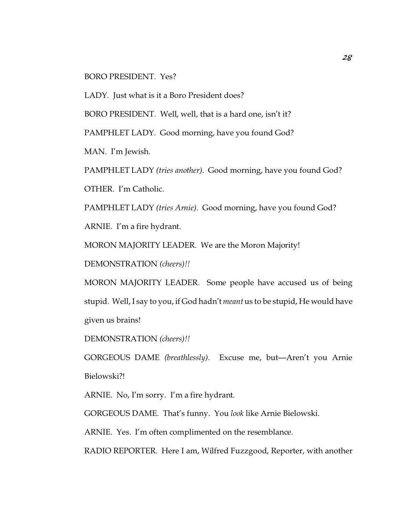#### BORO PRESIDENT. Yes?

LADY. Just what is it a Boro President does?

BORO PRESIDENT. Well, well, that is a hard one, isn't it?

PAMPHLET LADY. Good morning, have you found God?

MAN. I'm Jewish.

PAMPHLET LADY *(tries another)*. Good morning, have you found God? OTHER. I'm Catholic.

PAMPHLET LADY *(tries Arnie)*. Good morning, have you found God? ARNIE. I'm a fire hydrant.

MORON MAJORITY LEADER. We are the Moron Majority!

DEMONSTRATION *(cheers)!!*

MORON MAJORITY LEADER. Some people have accused us of being stupid. Well, I say to you, if God hadn't *meant* us to be stupid, He would have given us brains!

DEMONSTRATION *(cheers)!!*

GORGEOUS DAME *(breathlessly)*. Excuse me, but—Aren't you Arnie Bielowski?!

ARNIE. No, I'm sorry. I'm a fire hydrant.

GORGEOUS DAME. That's funny. You *look* like Arnie Bielowski.

ARNIE. Yes. I'm often complimented on the resemblance.

RADIO REPORTER. Here I am, Wilfred Fuzzgood, Reporter, with another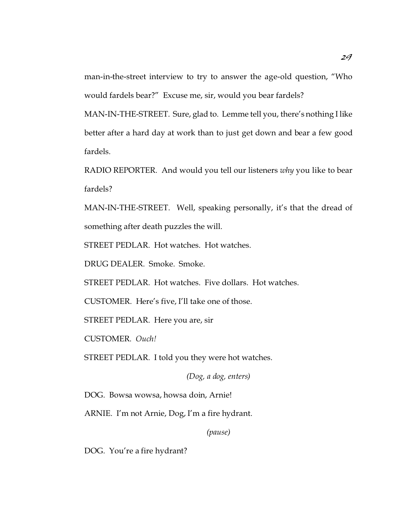man-in-the-street interview to try to answer the age-old question, "Who would fardels bear?" Excuse me, sir, would you bear fardels?

MAN-IN-THE-STREET. Sure, glad to. Lemme tell you, there's nothing I like better after a hard day at work than to just get down and bear a few good fardels.

RADIO REPORTER. And would you tell our listeners *why* you like to bear fardels?

MAN-IN-THE-STREET. Well, speaking personally, it's that the dread of something after death puzzles the will.

STREET PEDLAR. Hot watches. Hot watches.

DRUG DEALER. Smoke. Smoke.

STREET PEDLAR. Hot watches. Five dollars. Hot watches.

CUSTOMER. Here's five, I'll take one of those.

STREET PEDLAR. Here you are, sir

CUSTOMER. *Ouch!*

STREET PEDLAR. I told you they were hot watches.

*(Dog, a dog, enters)*

DOG. Bowsa wowsa, howsa doin, Arnie!

ARNIE. I'm not Arnie, Dog, I'm a fire hydrant.

*(pause)*

DOG. You're a fire hydrant?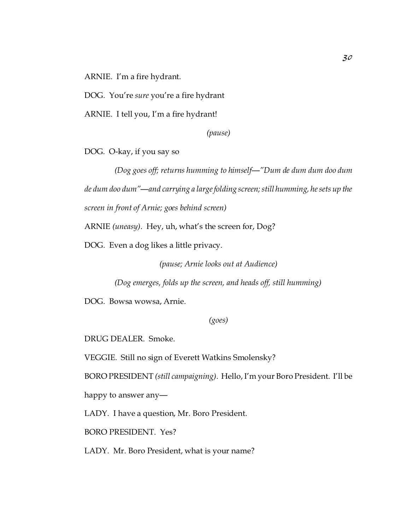ARNIE. I'm a fire hydrant.

DOG. You're *sure* you're a fire hydrant

ARNIE. I tell you, I'm a fire hydrant!

*(pause)*

DOG. O-kay, if you say so

*(Dog goes off; returns humming to himself—"Dum de dum dum doo dum de dum doo dum"—and carrying a large folding screen; still humming, he sets up the screen in front of Arnie; goes behind screen)*

ARNIE *(uneasy)*. Hey, uh, what's the screen for, Dog?

DOG. Even a dog likes a little privacy.

*(pause; Arnie looks out at Audience)*

*(Dog emerges, folds up the screen, and heads off, still humming)*

DOG. Bowsa wowsa, Arnie.

*(goes)*

DRUG DEALER. Smoke.

VEGGIE. Still no sign of Everett Watkins Smolensky?

BORO PRESIDENT *(still campaigning)*. Hello, I'm your Boro President. I'll be

happy to answer any—

LADY. I have a question, Mr. Boro President.

BORO PRESIDENT. Yes?

LADY. Mr. Boro President, what is your name?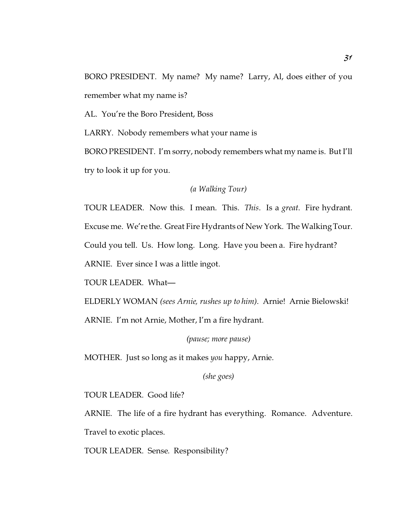BORO PRESIDENT. My name? My name? Larry, Al, does either of you remember what my name is?

AL. You're the Boro President, Boss

LARRY. Nobody remembers what your name is

BORO PRESIDENT. I'm sorry, nobody remembers what my name is. But I'll try to look it up for you.

*(a Walking Tour)*

TOUR LEADER. Now this. I mean. This. *This*. Is a *great*. Fire hydrant. Excuse me. We're the. Great Fire Hydrants of New York. The Walking Tour. Could you tell. Us. How long. Long. Have you been a. Fire hydrant? ARNIE. Ever since I was a little ingot.

TOUR LEADER. What—

ELDERLY WOMAN *(sees Arnie, rushes up to him)*. Arnie! Arnie Bielowski! ARNIE. I'm not Arnie, Mother, I'm a fire hydrant.

*(pause; more pause)*

MOTHER. Just so long as it makes *you* happy, Arnie.

*(she goes)*

TOUR LEADER. Good life?

ARNIE. The life of a fire hydrant has everything. Romance. Adventure. Travel to exotic places.

TOUR LEADER. Sense. Responsibility?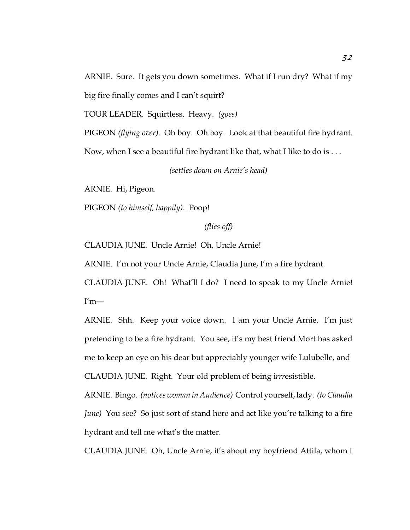ARNIE. Sure. It gets you down sometimes. What if I run dry? What if my big fire finally comes and I can't squirt?

TOUR LEADER. Squirtless. Heavy. *(goes)*

PIGEON *(flying over)*. Oh boy. Oh boy. Look at that beautiful fire hydrant.

Now, when I see a beautiful fire hydrant like that, what I like to do is . . .

*(settles down on Arnie's head)*

ARNIE. Hi, Pigeon.

PIGEON *(to himself, happily)*. Poop!

*(flies off)*

CLAUDIA JUNE. Uncle Arnie! Oh, Uncle Arnie!

ARNIE. I'm not your Uncle Arnie, Claudia June, I'm a fire hydrant.

CLAUDIA JUNE. Oh! What'll I do? I need to speak to my Uncle Arnie!  $I'm$ —

ARNIE. Shh. Keep your voice down. I am your Uncle Arnie. I'm just pretending to be a fire hydrant. You see, it's my best friend Mort has asked me to keep an eye on his dear but appreciably younger wife Lulubelle, and CLAUDIA JUNE. Right. Your old problem of being i*rrr*esistible.

ARNIE. Bingo. *(notices woman in Audience)* Control yourself, lady. *(to Claudia June)* You see? So just sort of stand here and act like you're talking to a fire hydrant and tell me what's the matter.

CLAUDIA JUNE. Oh, Uncle Arnie, it's about my boyfriend Attila, whom I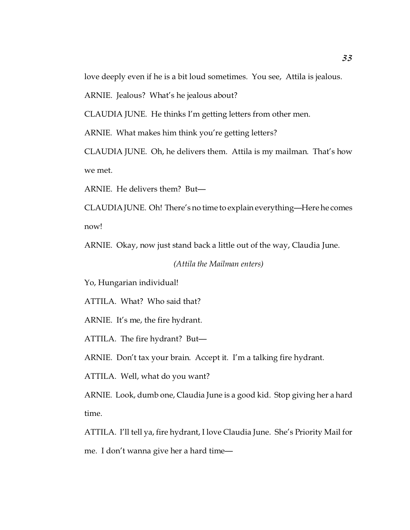love deeply even if he is a bit loud sometimes. You see, Attila is jealous.

ARNIE. Jealous? What's he jealous about?

CLAUDIA JUNE. He thinks I'm getting letters from other men.

ARNIE. What makes him think you're getting letters?

CLAUDIA JUNE. Oh, he delivers them. Attila is my mailman. That's how we met.

ARNIE. He delivers them? But—

CLAUDIA JUNE. Oh! There's no time to explain everything—Here he comes now!

ARNIE. Okay, now just stand back a little out of the way, Claudia June.

*(Attila the Mailman enters)*

Yo, Hungarian individual!

ATTILA. What? Who said that?

ARNIE. It's me, the fire hydrant.

ATTILA. The fire hydrant? But—

ARNIE. Don't tax your brain. Accept it. I'm a talking fire hydrant.

ATTILA. Well, what do you want?

ARNIE. Look, dumb one, Claudia June is a good kid. Stop giving her a hard time.

ATTILA. I'll tell ya, fire hydrant, I love Claudia June. She's Priority Mail for me. I don't wanna give her a hard time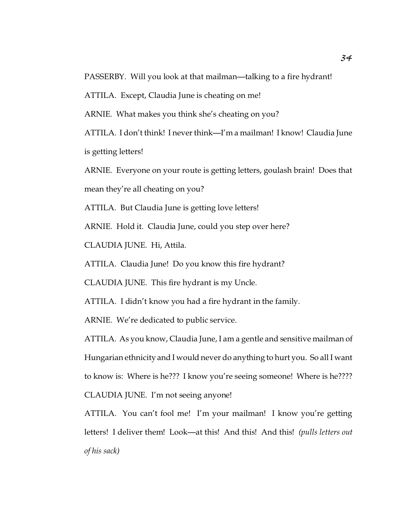PASSERBY. Will you look at that mailman—talking to a fire hydrant!

ATTILA. Except, Claudia June is cheating on me!

ARNIE. What makes you think she's cheating on you?

ATTILA. I don't think! I never think—I'm a mailman! I know! Claudia June is getting letters!

ARNIE. Everyone on your route is getting letters, goulash brain! Does that mean they're all cheating on you?

ATTILA. But Claudia June is getting love letters!

ARNIE. Hold it. Claudia June, could you step over here?

CLAUDIA JUNE. Hi, Attila.

ATTILA. Claudia June! Do you know this fire hydrant?

CLAUDIA JUNE. This fire hydrant is my Uncle.

ATTILA. I didn't know you had a fire hydrant in the family.

ARNIE. We're dedicated to public service.

ATTILA. As you know, Claudia June, I am a gentle and sensitive mailman of Hungarian ethnicity and I would never do anything to hurt you. So all I want to know is: Where is he??? I know you're seeing someone! Where is he???? CLAUDIA JUNE. I'm not seeing anyone!

ATTILA. You can't fool me! I'm your mailman! I know you're getting letters! I deliver them! Look—at this! And this! And this! *(pulls letters out of his sack)*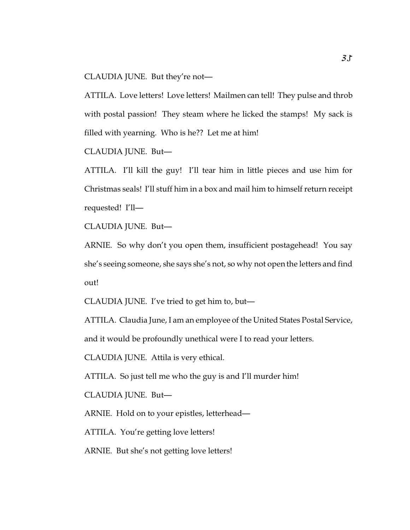CLAUDIA JUNE. But they're not—

ATTILA. Love letters! Love letters! Mailmen can tell! They pulse and throb with postal passion! They steam where he licked the stamps! My sack is filled with yearning. Who is he?? Let me at him!

CLAUDIA JUNE. But—

ATTILA. I'll kill the guy! I'll tear him in little pieces and use him for Christmas seals! I'll stuff him in a box and mail him to himself return receipt requested! I'll—

CLAUDIA JUNE. But—

ARNIE. So why don't you open them, insufficient postagehead! You say she's seeing someone, she says she's not, so why not open the letters and find out!

CLAUDIA JUNE. I've tried to get him to, but—

ATTILA. Claudia June, I am an employee of the United States Postal Service, and it would be profoundly unethical were I to read your letters.

CLAUDIA JUNE. Attila is very ethical.

ATTILA. So just tell me who the guy is and I'll murder him!

CLAUDIA JUNE. But—

ARNIE. Hold on to your epistles, letterhead—

ATTILA. You're getting love letters!

ARNIE. But she's not getting love letters!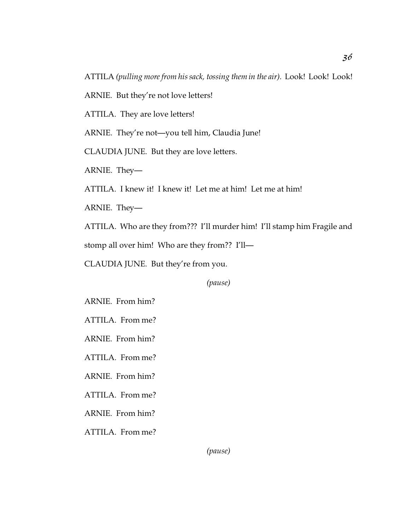ATTILA *(pulling more from his sack, tossing them in the air).* Look! Look! Look!

ARNIE. But they're not love letters!

ATTILA. They are love letters!

ARNIE. They're not—you tell him, Claudia June!

CLAUDIA JUNE. But they are love letters.

ARNIE. They—

ATTILA. I knew it! I knew it! Let me at him! Let me at him!

ARNIE. They—

ATTILA. Who are they from??? I'll murder him! I'll stamp him Fragile and

stomp all over him! Who are they from?? I'll—

CLAUDIA JUNE. But they're from you.

*(pause)*

ARNIE. From him?

ATTILA. From me?

ARNIE. From him?

ATTILA. From me?

ARNIE. From him?

ATTILA. From me?

ARNIE. From him?

ATTILA. From me?

*(pause)*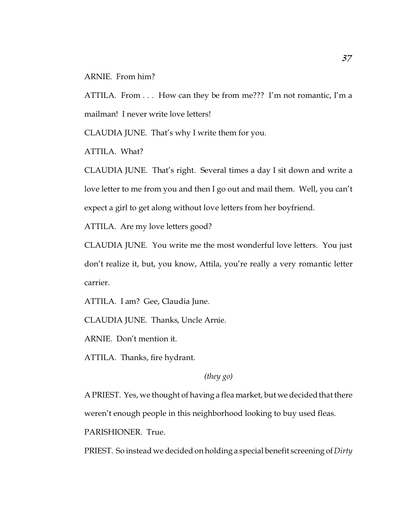#### ARNIE. From him?

ATTILA. From . . . How can they be from me??? I'm not romantic, I'm a mailman! I never write love letters!

CLAUDIA JUNE. That's why I write them for you.

ATTILA. What?

CLAUDIA JUNE. That's right. Several times a day I sit down and write a love letter to me from you and then I go out and mail them. Well, you can't expect a girl to get along without love letters from her boyfriend.

ATTILA. Are my love letters good?

CLAUDIA JUNE. You write me the most wonderful love letters. You just don't realize it, but, you know, Attila, you're really a very romantic letter carrier.

ATTILA. I am? Gee, Claudia June.

CLAUDIA JUNE. Thanks, Uncle Arnie.

ARNIE. Don't mention it.

ATTILA. Thanks, fire hydrant.

*(they go)*

A PRIEST. Yes, we thought of having a flea market, but we decided that there weren't enough people in this neighborhood looking to buy used fleas.

PARISHIONER. True.

PRIEST. So instead we decided on holding a special benefit screening of *Dirty*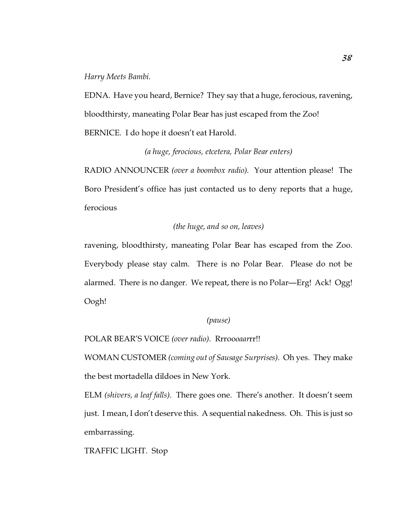*Harry Meets Bambi*.

EDNA. Have you heard, Bernice? They say that a huge, ferocious, ravening, bloodthirsty, maneating Polar Bear has just escaped from the Zoo! BERNICE. I do hope it doesn't eat Harold.

### *(a huge, ferocious, etcetera, Polar Bear enters)*

RADIO ANNOUNCER *(over a boombox radio)*. Your attention please! The Boro President's office has just contacted us to deny reports that a huge, ferocious

# *(the huge, and so on, leaves)*

ravening, bloodthirsty, maneating Polar Bear has escaped from the Zoo. Everybody please stay calm. There is no Polar Bear. Please do not be alarmed. There is no danger. We repeat, there is no Polar—Erg! Ack! Ogg! Oogh!

### *(pause)*

POLAR BEAR'S VOICE *(over radio)*. Rrroo*oaar*rr!!

WOMAN CUSTOMER *(coming out of Sausage Surprises)*. Oh yes. They make the best mortadella dildoes in New York.

ELM *(shivers, a leaf falls)*. There goes one. There's another. It doesn't seem just. I mean, I don't deserve this. A sequential nakedness. Oh. This is just so embarrassing.

TRAFFIC LIGHT. Stop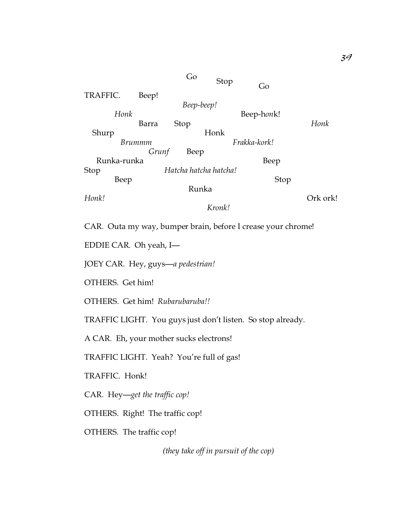Go Stop Go TRAFFIC. Beep! *Beep-beep! Honk* Barra Stop **Beep-honk!** Barra Stop *Honk* Shurp Honk  *Brummm Frakka-kork! Grunf* Beep Runka-runka Beep Stop *Hatcha hatcha hatcha!* Beep Stop Runka *Honk!* Ork ork! *Kronk!*

CAR. Outa my way, bumper brain, before I crease your chrome!

EDDIE CAR. Oh yeah, I—

JOEY CAR. Hey, guys—*a pedestrian!*

OTHERS. Get him!

OTHERS. Get him! *Rubarubaruba!!*

TRAFFIC LIGHT. You guys just don't listen. So stop already.

A CAR. Eh, your mother sucks electrons!

TRAFFIC LIGHT. Yeah? You're full of gas!

TRAFFIC. Honk!

CAR. Hey—*get the traffic cop!*

OTHERS. Right! The traffic cop!

OTHERS. The traffic cop!

*(they take off in pursuit of the cop)*

*39*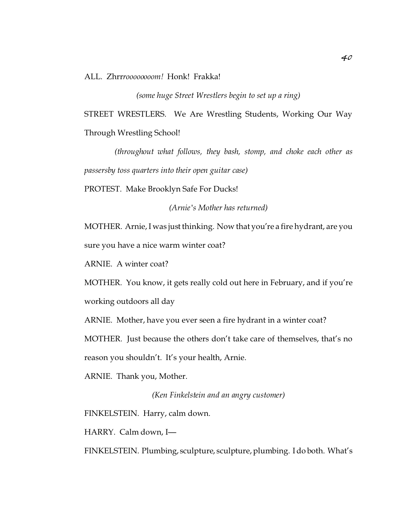ALL. Zhrr*roooooooom!* Honk! Frakka!

*(some huge Street Wrestlers begin to set up a ring)*

STREET WRESTLERS. We Are Wrestling Students, Working Our Way Through Wrestling School!

*(throughout what follows, they bash, stomp, and choke each other as passersby toss quarters into their open guitar case)*

PROTEST. Make Brooklyn Safe For Ducks!

*(Arnie's Mother has returned)*

MOTHER. Arnie, I was just thinking. Now that you're a fire hydrant, are you sure you have a nice warm winter coat?

ARNIE. A winter coat?

MOTHER. You know, it gets really cold out here in February, and if you're working outdoors all day

ARNIE. Mother, have you ever seen a fire hydrant in a winter coat?

MOTHER. Just because the others don't take care of themselves, that's no

reason you shouldn't. It's your health, Arnie.

ARNIE. Thank you, Mother.

*(Ken Finkelstein and an angry customer)*

FINKELSTEIN. Harry, calm down.

HARRY. Calm down, I—

FINKELSTEIN. Plumbing, sculpture, sculpture, plumbing. I do both. What's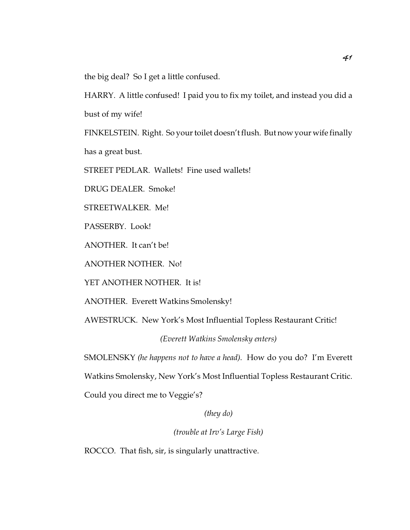the big deal? So I get a little confused.

HARRY. A little confused! I paid you to fix my toilet, and instead you did a bust of my wife!

FINKELSTEIN. Right. So your toilet doesn't flush. But now your wife finally has a great bust.

STREET PEDLAR. Wallets! Fine used wallets!

DRUG DEALER. Smoke!

STREETWALKER. Me!

PASSERBY. Look!

ANOTHER. It can't be!

ANOTHER NOTHER. No!

YET ANOTHER NOTHER. It is!

ANOTHER. Everett Watkins Smolensky!

AWESTRUCK. New York's Most Influential Topless Restaurant Critic!

*(Everett Watkins Smolensky enters)*

SMOLENSKY *(he happens not to have a head)*. How do you do? I'm Everett

Watkins Smolensky, New York's Most Influential Topless Restaurant Critic.

Could you direct me to Veggie's?

*(they do)*

*(trouble at Irv's Large Fish)*

ROCCO. That fish, sir, is singularly unattractive.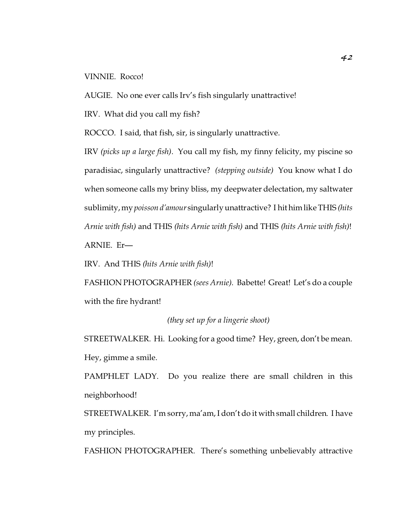#### VINNIE. Rocco!

AUGIE. No one ever calls Irv's fish singularly unattractive!

IRV. What did you call my fish?

ROCCO. I said, that fish, sir, is singularly unattractive.

IRV *(picks up a large fish)*. You call my fish, my finny felicity, my piscine so paradisiac, singularly unattractive? *(stepping outside)* You know what I do when someone calls my briny bliss, my deepwater delectation, my saltwater sublimity, my *poisson d'amour* singularly unattractive? I hit him like THIS *(hits Arnie with fish)* and THIS *(hits Arnie with fish)* and THIS *(hits Arnie with fish)*! ARNIE. Er—

IRV. And THIS *(hits Arnie with fish)*!

FASHION PHOTOGRAPHER *(sees Arnie)*. Babette! Great! Let's do a couple with the fire hydrant!

## *(they set up for a lingerie shoot)*

STREETWALKER. Hi. Looking for a good time? Hey, green, don't be mean. Hey, gimme a smile.

PAMPHLET LADY. Do you realize there are small children in this neighborhood!

STREETWALKER. I'm sorry, ma'am, I don't do it with small children. I have my principles.

FASHION PHOTOGRAPHER. There's something unbelievably attractive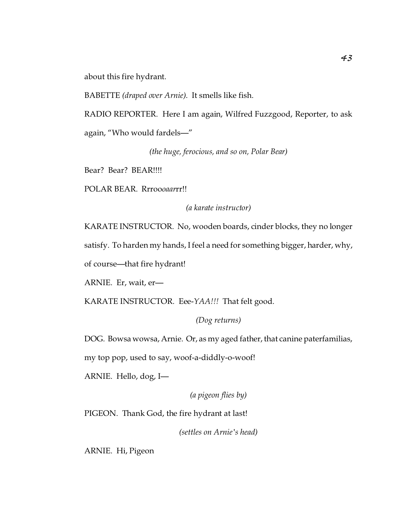about this fire hydrant.

BABETTE *(draped over Arnie)*. It smells like fish.

RADIO REPORTER. Here I am again, Wilfred Fuzzgood, Reporter, to ask again, "Who would fardels—"

*(the huge, ferocious, and so on, Polar Bear)*

Bear? Bear? BEAR!!!!

POLAR BEAR. Rrroo*oaar*rr!!

*(a karate instructor)*

KARATE INSTRUCTOR. No, wooden boards, cinder blocks, they no longer

satisfy. To harden my hands, I feel a need for something bigger, harder, why,

of course—that fire hydrant!

ARNIE. Er, wait, er—

KARATE INSTRUCTOR. Eee-*YAA!!!* That felt good.

*(Dog returns)*

DOG. Bowsa wowsa, Arnie. Or, as my aged father, that canine paterfamilias,

my top pop, used to say, woof-a-diddly-o-woof!

ARNIE. Hello, dog, I—

*(a pigeon flies by)*

PIGEON. Thank God, the fire hydrant at last!

*(settles on Arnie's head)*

ARNIE. Hi, Pigeon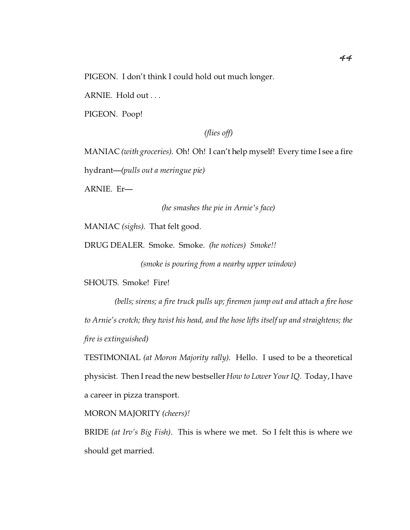PIGEON. I don't think I could hold out much longer.

ARNIE. Hold out . . .

PIGEON. Poop!

*(flies off)*

MANIAC *(with groceries)*. Oh! Oh! I can't help myself! Every time I see a fire

hydrant—*(pulls out a meringue pie)*

ARNIE. Er—

*(he smashes the pie in Arnie's face)*

MANIAC *(sighs)*. That felt good.

DRUG DEALER. Smoke. Smoke. *(he notices) Smoke!!*

*(smoke is pouring from a nearby upper window)*

SHOUTS. Smoke! Fire!

*(bells; sirens; a fire truck pulls up; firemen jump out and attach a fire hose to Arnie's crotch; they twist his head, and the hose lifts itself up and straightens; the fire is extinguished)*

TESTIMONIAL *(at Moron Majority rally)*. Hello. I used to be a theoretical physicist. Then I read the new bestseller*How to Lower Your IQ*. Today, I have a career in pizza transport.

MORON MAJORITY *(cheers)!*

BRIDE *(at Irv's Big Fish)*. This is where we met. So I felt this is where we should get married.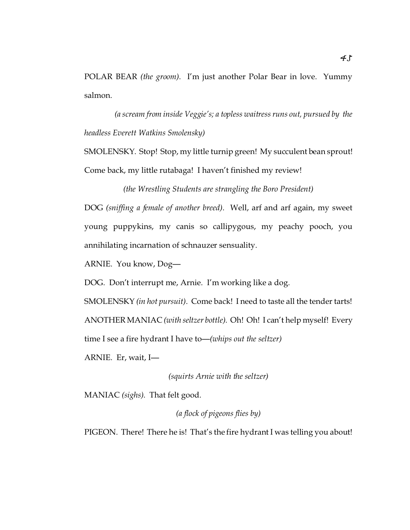POLAR BEAR *(the groom)*. I'm just another Polar Bear in love. Yummy salmon.

*(a scream from inside Veggie's; a topless waitress runs out, pursued by the headless Everett Watkins Smolensky)*

SMOLENSKY. Stop! Stop, my little turnip green! My succulent bean sprout! Come back, my little rutabaga! I haven't finished my review!

*(the Wrestling Students are strangling the Boro President)* DOG *(sniffing a female of another breed)*. Well, arf and arf again, my sweet young puppykins, my canis so callipygous, my peachy pooch, you annihilating incarnation of schnauzer sensuality.

ARNIE. You know, Dog—

DOG. Don't interrupt me, Arnie. I'm working like a dog.

SMOLENSKY *(in hot pursuit)*. Come back! I need to taste all the tender tarts! ANOTHER MANIAC *(with seltzer bottle)*. Oh! Oh! I can't help myself! Every time I see a fire hydrant I have to—*(whips out the seltzer)*

ARNIE. Er, wait, I—

*(squirts Arnie with the seltzer)*

MANIAC *(sighs)*. That felt good.

*(a flock of pigeons flies by)*

PIGEON. There! There he is! That's the fire hydrant I was telling you about!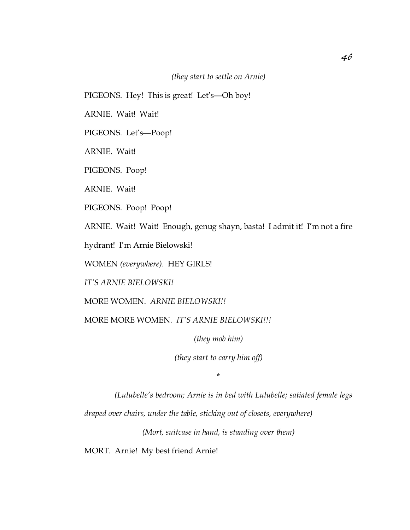*(they start to settle on Arnie)*

PIGEONS. Hey! This is great! Let's—Oh boy!

ARNIE. Wait! Wait!

PIGEONS. Let's—Poop!

ARNIE. Wait!

PIGEONS. Poop!

ARNIE. Wait!

PIGEONS. Poop! Poop!

ARNIE. Wait! Wait! Enough, genug shayn, basta! I admit it! I'm not a fire

hydrant! I'm Arnie Bielowski!

WOMEN *(everywhere)*. HEY GIRLS!

*IT'S ARNIE BIELOWSKI!*

MORE WOMEN. *ARNIE BIELOWSKI!!*

MORE MORE WOMEN. *IT'S ARNIE BIELOWSKI!!!*

*(they mob him)*

*(they start to carry him off)*

\*

*(Lulubelle's bedroom; Arnie is in bed with Lulubelle; satiated female legs*

*draped over chairs, under the table, sticking out of closets, everywhere)*

*(Mort, suitcase in hand, is standing over them)*

MORT. Arnie! My best friend Arnie!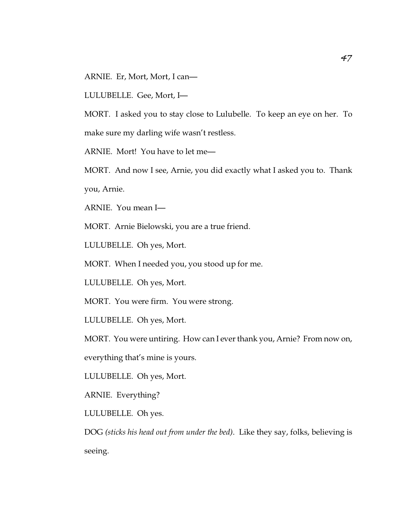ARNIE. Er, Mort, Mort, I can—

LULUBELLE. Gee, Mort, I—

MORT. I asked you to stay close to Lulubelle. To keep an eye on her. To make sure my darling wife wasn't restless.

ARNIE. Mort! You have to let me—

MORT. And now I see, Arnie, you did exactly what I asked you to. Thank you, Arnie.

ARNIE. You mean I—

MORT. Arnie Bielowski, you are a true friend.

LULUBELLE. Oh yes, Mort.

MORT. When I needed you, you stood up for me.

LULUBELLE. Oh yes, Mort.

MORT. You were firm. You were strong.

LULUBELLE. Oh yes, Mort.

MORT. You were untiring. How can I ever thank you, Arnie? From now on,

everything that's mine is yours.

LULUBELLE. Oh yes, Mort.

ARNIE. Everything?

LULUBELLE. Oh yes.

DOG *(sticks his head out from under the bed)*. Like they say, folks, believing is seeing.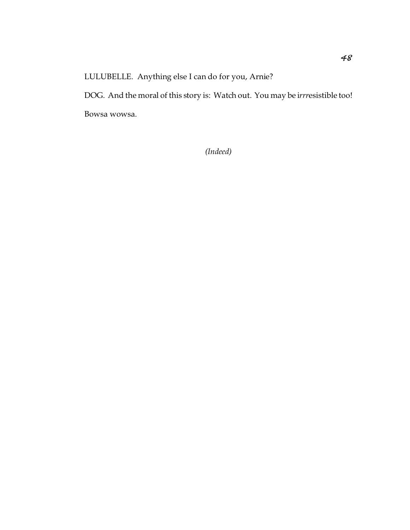LULUBELLE. Anything else I can do for you, Arnie?

DOG. And the moral of this story is: Watch out. You may be i*rrr*esistible too! Bowsa wowsa.

*(Indeed)*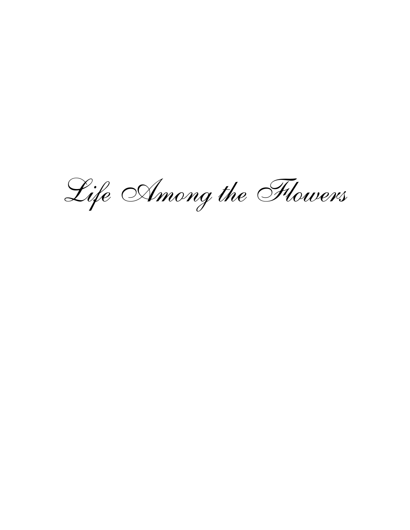Life Among the Flowers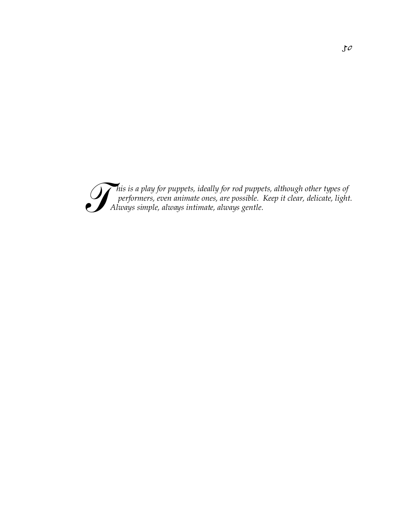*This is a play for puppets, ideally for rod puppets, although other types of performers, even animate ones, are possible. Keep it clear, delicate, light Always simple, always intimate, always gentle. performers, even animate ones, are possible. Keep it clear, delicate, light. Always simple, always intimate, always gentle.*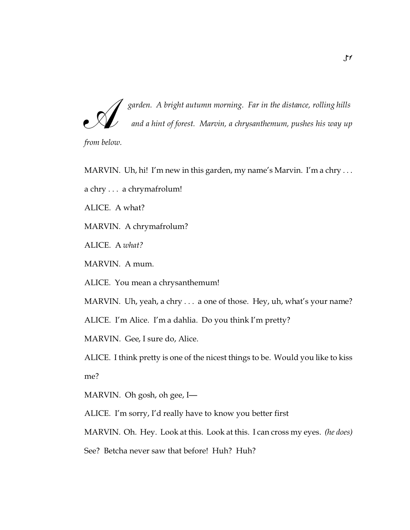A *from below. garden. A bright autumn morning. Far in the distance, rolling hills and a hint of forest. Marvin, a chrysanthemum, pushes his way up*

MARVIN. Uh, hi! I'm new in this garden, my name's Marvin. I'm a chry . . .

a chry . . . a chrymafrolum!

ALICE. A what?

MARVIN. A chrymafrolum?

ALICE. A *what?*

MARVIN. A mum.

ALICE. You mean a chrysanthemum!

MARVIN. Uh, yeah, a chry . . . a one of those. Hey, uh, what's your name?

ALICE. I'm Alice. I'm a dahlia. Do you think I'm pretty?

MARVIN. Gee, I sure do, Alice.

ALICE. I think pretty is one of the nicest things to be. Would you like to kiss me?

MARVIN. Oh gosh, oh gee, I—

ALICE. I'm sorry, I'd really have to know you better first

MARVIN. Oh. Hey. Look at this. Look at this. I can cross my eyes. *(he does)*

See? Betcha never saw that before! Huh? Huh?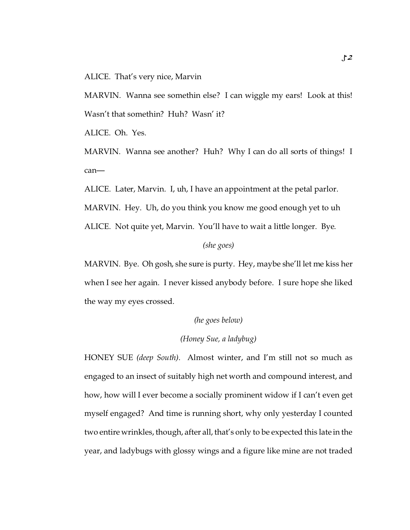ALICE. That's very nice, Marvin

MARVIN. Wanna see somethin else? I can wiggle my ears! Look at this! Wasn't that somethin? Huh? Wasn' it?

ALICE. Oh. Yes.

MARVIN. Wanna see another? Huh? Why I can do all sorts of things! I can—

ALICE. Later, Marvin. I, uh, I have an appointment at the petal parlor. MARVIN. Hey. Uh, do you think you know me good enough yet to uh ALICE. Not quite yet, Marvin. You'll have to wait a little longer. Bye.

### *(she goes)*

MARVIN. Bye. Oh gosh, she sure is purty. Hey, maybe she'll let me kiss her when I see her again. I never kissed anybody before. I sure hope she liked the way my eyes crossed.

## *(he goes below)*

# *(Honey Sue, a ladybug)*

HONEY SUE *(deep South)*. Almost winter, and I'm still not so much as engaged to an insect of suitably high net worth and compound interest, and how, how will I ever become a socially prominent widow if I can't even get myself engaged? And time is running short, why only yesterday I counted two entire wrinkles, though, after all, that's only to be expected this late in the year, and ladybugs with glossy wings and a figure like mine are not traded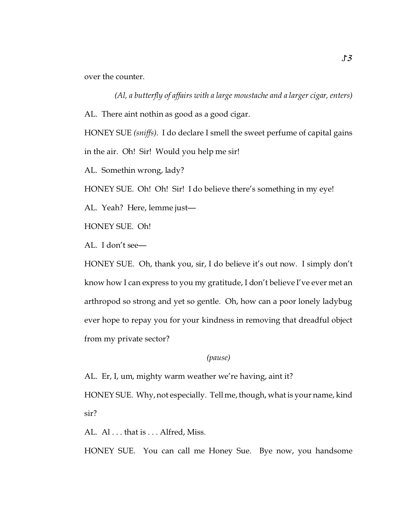over the counter.

*(Al, a butterfly of affairs with a large moustache and a larger cigar, enters)* AL. There aint nothin as good as a good cigar.

HONEY SUE *(sniffs)*. I do declare I smell the sweet perfume of capital gains in the air. Oh! Sir! Would you help me sir!

AL. Somethin wrong, lady?

HONEY SUE. Oh! Oh! Sir! I do believe there's something in my eye!

AL. Yeah? Here, lemme just—

HONEY SUE. Oh!

AL. I don't see—

HONEY SUE. Oh, thank you, sir, I do believe it's out now. I simply don't know how I can express to you my gratitude, I don't believe I've ever met an arthropod so strong and yet so gentle. Oh, how can a poor lonely ladybug ever hope to repay you for your kindness in removing that dreadful object from my private sector?

# *(pause)*

AL. Er, I, um, mighty warm weather we're having, aint it?

HONEY SUE. Why, not especially. Tell me, though, what is your name, kind sir?

AL. Al... that is ... Alfred, Miss.

HONEY SUE. You can call me Honey Sue. Bye now, you handsome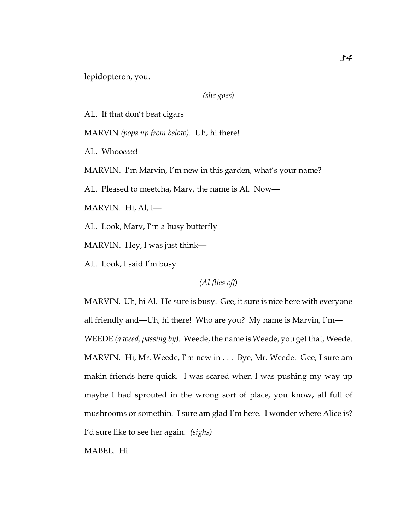lepidopteron, you.

*(she goes)*

AL. If that don't beat cigars

MARVIN *(pops up from below)*. Uh, hi there!

AL. Whoo*eeee*!

MARVIN. I'm Marvin, I'm new in this garden, what's your name?

AL. Pleased to meetcha, Marv, the name is Al. Now—

MARVIN. Hi, Al, I—

AL. Look, Marv, I'm a busy butterfly

MARVIN. Hey, I was just think—

AL. Look, I said I'm busy

*(Al flies off)*

MARVIN. Uh, hi Al. He sure is busy. Gee, it sure is nice here with everyone all friendly and—Uh, hi there! Who are you? My name is Marvin, I'm— WEEDE *(a weed, passing by)*. Weede, the name is Weede, you get that, Weede. MARVIN. Hi, Mr. Weede, I'm new in . . . Bye, Mr. Weede. Gee, I sure am makin friends here quick. I was scared when I was pushing my way up maybe I had sprouted in the wrong sort of place, you know, all full of mushrooms or somethin. I sure am glad I'm here. I wonder where Alice is? I'd sure like to see her again. *(sighs)*

MABEL. Hi.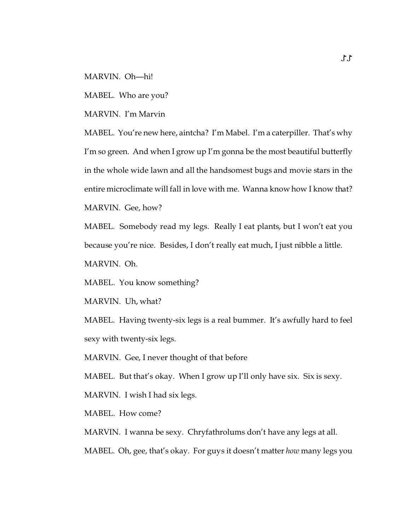MARVIN. Oh—hi!

MABEL. Who are you?

MARVIN. I'm Marvin

MABEL. You're new here, aintcha? I'm Mabel. I'm a caterpiller. That's why I'm so green. And when I grow up I'm gonna be the most beautiful butterfly in the whole wide lawn and all the handsomest bugs and movie stars in the entire microclimate will fall in love with me. Wanna know how I know that? MARVIN. Gee, how?

MABEL. Somebody read my legs. Really I eat plants, but I won't eat you because you're nice. Besides, I don't really eat much, I just nibble a little. MARVIN. Oh.

MABEL. You know something?

MARVIN. Uh, what?

MABEL. Having twenty-six legs is a real bummer. It's awfully hard to feel sexy with twenty-six legs.

MARVIN. Gee, I never thought of that before

MABEL. But that's okay. When I grow up I'll only have six. Six is sexy.

MARVIN. I wish I had six legs.

MABEL. How come?

MARVIN. I wanna be sexy. Chryfathrolums don't have any legs at all.

MABEL. Oh, gee, that's okay. For guys it doesn't matter *how* many legs you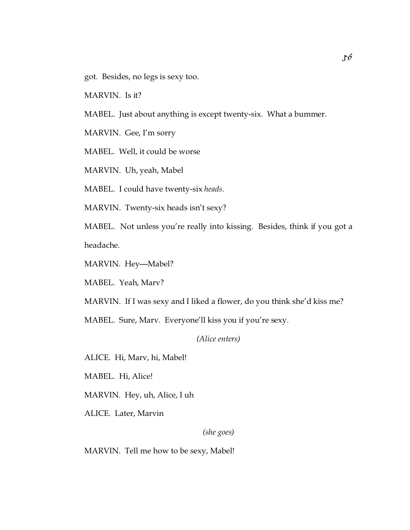got. Besides, no legs is sexy too.

MARVIN. Is it?

MABEL. Just about anything is except twenty-six. What a bummer.

MARVIN. Gee, I'm sorry

MABEL. Well, it could be worse

MARVIN. Uh, yeah, Mabel

MABEL. I could have twenty-six *heads*.

MARVIN. Twenty-six heads isn't sexy?

MABEL. Not unless you're really into kissing. Besides, think if you got a headache.

MARVIN. Hey—Mabel?

MABEL. Yeah, Marv?

MARVIN. If I was sexy and I liked a flower, do you think she'd kiss me?

MABEL. Sure, Marv. Everyone'll kiss you if you're sexy.

### *(Alice enters)*

ALICE. Hi, Marv, hi, Mabel!

MABEL. Hi, Alice!

MARVIN. Hey, uh, Alice, I uh

ALICE. Later, Marvin

*(she goes)*

MARVIN. Tell me how to be sexy, Mabel!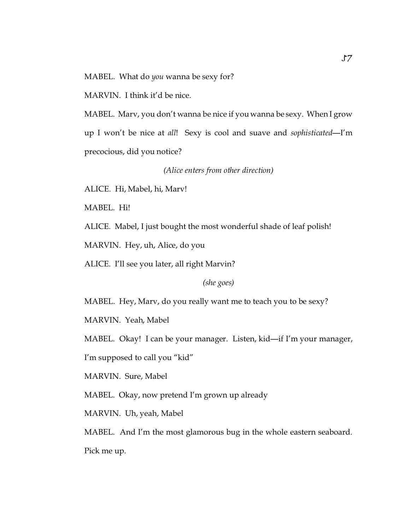MABEL. What do *you* wanna be sexy for?

MARVIN. I think it'd be nice.

MABEL. Marv, you don't wanna be nice if you wanna be sexy. When I grow up I won't be nice at *all*! Sexy is cool and suave and *sophisticated*—I'm precocious, did you notice?

*(Alice enters from other direction)*

ALICE. Hi, Mabel, hi, Marv!

MABEL. Hi!

ALICE. Mabel, I just bought the most wonderful shade of leaf polish!

MARVIN. Hey, uh, Alice, do you

ALICE. I'll see you later, all right Marvin?

*(she goes)*

MABEL. Hey, Marv, do you really want me to teach you to be sexy?

MARVIN. Yeah, Mabel

MABEL. Okay! I can be your manager. Listen, kid—if I'm your manager,

I'm supposed to call you "kid"

MARVIN. Sure, Mabel

MABEL. Okay, now pretend I'm grown up already

MARVIN. Uh, yeah, Mabel

MABEL. And I'm the most glamorous bug in the whole eastern seaboard.

Pick me up.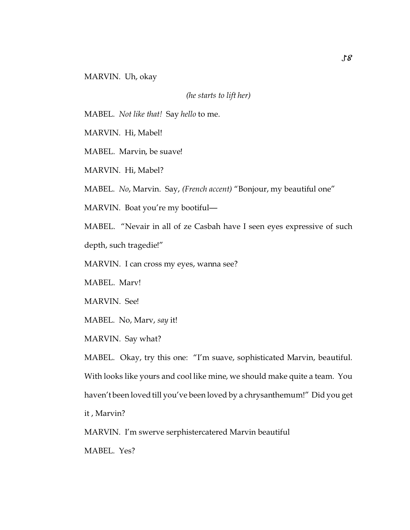MARVIN. Uh, okay

*(he starts to lift her)*

MABEL. *Not like that!* Say *hello* to me.

MARVIN. Hi, Mabel!

MABEL. Marvin, be suave!

MARVIN. Hi, Mabel?

MABEL. *No*, Marvin. Say, *(French accent)* "Bonjour, my beautiful one"

MARVIN. Boat you're my bootiful—

MABEL. "Nevair in all of ze Casbah have I seen eyes expressive of such depth, such tragedie!"

MARVIN. I can cross my eyes, wanna see?

MABEL. Marv!

MARVIN. See!

MABEL. No, Marv, *say* it!

MARVIN. Say what?

MABEL. Okay, try this one: "I'm suave, sophisticated Marvin, beautiful. With looks like yours and cool like mine, we should make quite a team. You haven't been loved till you've been loved by a chrysanthemum!" Did you get it , Marvin?

MARVIN. I'm swerve serphistercatered Marvin beautiful

MABEL. Yes?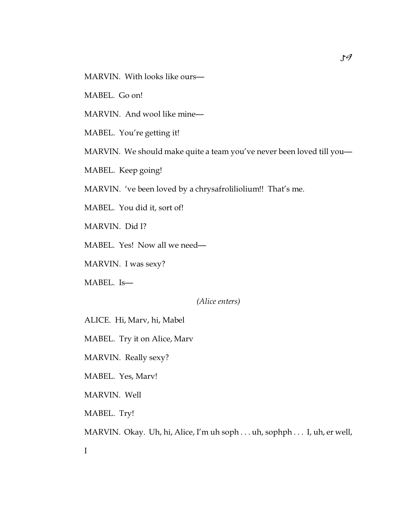MARVIN. With looks like ours—

MABEL. Go on!

MARVIN. And wool like mine—

MABEL. You're getting it!

MARVIN. We should make quite a team you've never been loved till you—

MABEL. Keep going!

MARVIN. 've been loved by a chrysafroliliolium!! That's me.

MABEL. You did it, sort of!

MARVIN. Did I?

MABEL. Yes! Now all we need—

MARVIN. I was sexy?

MABEL. Is—

*(Alice enters)*

ALICE. Hi, Marv, hi, Mabel

MABEL. Try it on Alice, Marv

MARVIN. Really sexy?

MABEL. Yes, Marv!

MARVIN. Well

MABEL. Try!

MARVIN. Okay. Uh, hi, Alice, I'm uh soph . . . uh, sophph . . . I, uh, er well,

I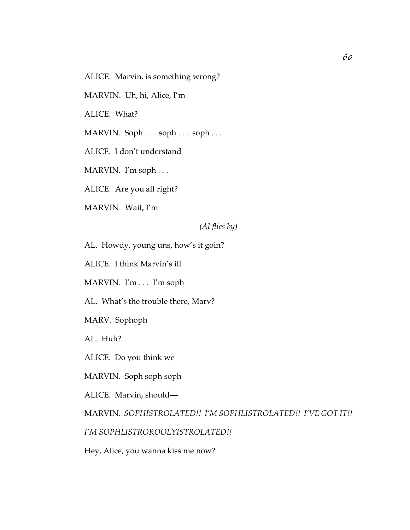ALICE. Marvin, is something wrong?

MARVIN. Uh, hi, Alice, I'm

ALICE. What?

MARVIN. Soph . . . soph . . . soph . . .

ALICE. I don't understand

MARVIN. I'm soph . . .

ALICE. Are you all right?

MARVIN. Wait, I'm

*(Al flies by)*

AL. Howdy, young uns, how's it goin?

ALICE. I think Marvin's ill

MARVIN. I'm . . . I'm soph

AL. What's the trouble there, Marv?

MARV. Sophoph

AL. Huh?

ALICE. Do you think we

MARVIN. Soph soph soph

ALICE. Marvin, should—

MARVIN. *SOPHISTROLATED!! I'M SOPHLISTROLATED!! I'VE GOT IT!!*

*I'M SOPHLISTROROOLYISTROLATED!!*

Hey, Alice, you wanna kiss me now?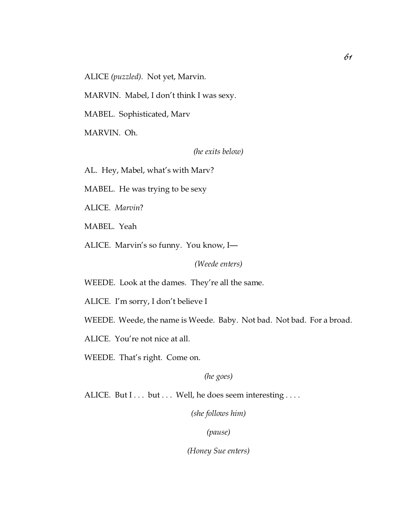ALICE *(puzzled)*. Not yet, Marvin.

MARVIN. Mabel, I don't think I was sexy.

MABEL. Sophisticated, Marv

MARVIN. Oh.

*(he exits below)*

AL. Hey, Mabel, what's with Marv?

MABEL. He was trying to be sexy

ALICE. *Marvin*?

MABEL. Yeah

ALICE. Marvin's so funny. You know, I—

*(Weede enters)*

WEEDE. Look at the dames. They're all the same.

ALICE. I'm sorry, I don't believe I

WEEDE. Weede, the name is Weede. Baby. Not bad. Not bad. For a broad.

ALICE. You're not nice at all.

WEEDE. That's right. Come on.

*(he goes)*

ALICE. But I . . . but . . . Well, he does seem interesting . . . .

*(she follows him)*

*(pause)*

*(Honey Sue enters)*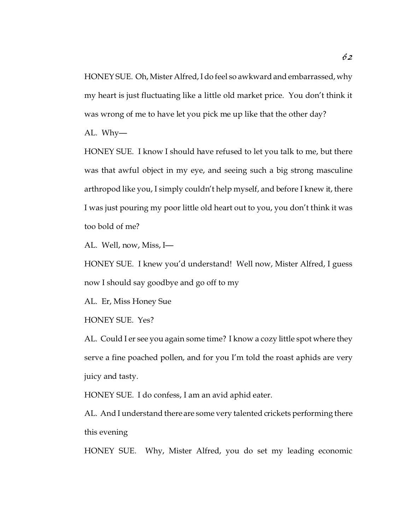HONEY SUE. Oh, Mister Alfred, I do feel so awkward and embarrassed, why my heart is just fluctuating like a little old market price. You don't think it was wrong of me to have let you pick me up like that the other day?

AL. Why—

HONEY SUE. I know I should have refused to let you talk to me, but there was that awful object in my eye, and seeing such a big strong masculine arthropod like you, I simply couldn't help myself, and before I knew it, there I was just pouring my poor little old heart out to you, you don't think it was too bold of me?

AL. Well, now, Miss, I—

HONEY SUE. I knew you'd understand! Well now, Mister Alfred, I guess now I should say goodbye and go off to my

AL. Er, Miss Honey Sue

HONEY SUE. Yes?

AL. Could I er see you again some time? I know a cozy little spot where they serve a fine poached pollen, and for you I'm told the roast aphids are very juicy and tasty.

HONEY SUE. I do confess, I am an avid aphid eater.

AL. And I understand there are some very talented crickets performing there this evening

HONEY SUE. Why, Mister Alfred, you do set my leading economic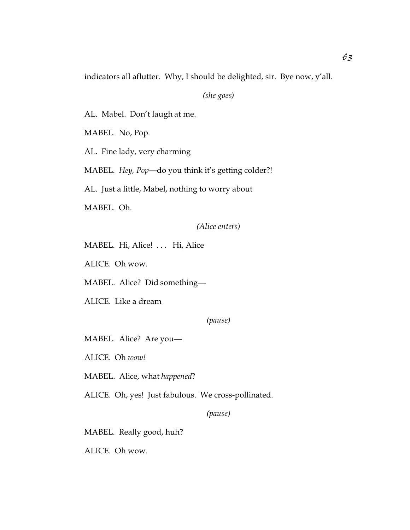indicators all aflutter. Why, I should be delighted, sir. Bye now, y'all.

*(she goes)*

AL. Mabel. Don't laugh at me.

MABEL. No, Pop.

AL. Fine lady, very charming

MABEL. *Hey, Pop*—do you think it's getting colder?!

AL. Just a little, Mabel, nothing to worry about

MABEL. Oh.

*(Alice enters)*

MABEL. Hi, Alice! . . . Hi, Alice

ALICE. Oh wow.

MABEL. Alice? Did something—

ALICE. Like a dream

*(pause)*

MABEL. Alice? Are you—

ALICE. Oh *wow!*

MABEL. Alice, what *happened*?

ALICE. Oh, yes! Just fabulous. We cross-pollinated.

*(pause)*

MABEL. Really good, huh?

ALICE. Oh wow.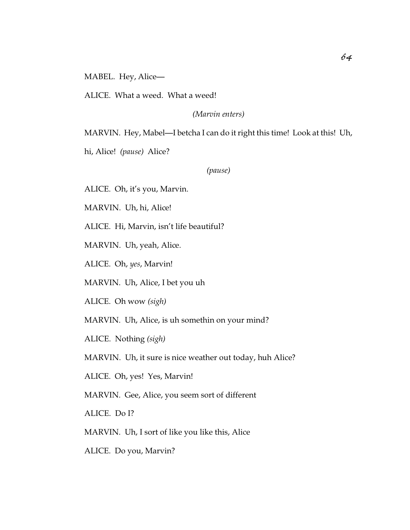MABEL. Hey, Alice—

ALICE. What a weed. What a weed!

*(Marvin enters)*

MARVIN. Hey, Mabel—I betcha I can do it right this time! Look at this! Uh,

hi, Alice! *(pause)* Alice?

*(pause)*

ALICE. Oh, it's you, Marvin.

MARVIN. Uh, hi, Alice!

ALICE. Hi, Marvin, isn't life beautiful?

MARVIN. Uh, yeah, Alice.

ALICE. Oh, *yes*, Marvin!

MARVIN. Uh, Alice, I bet you uh

ALICE. Oh wow *(sigh)*

MARVIN. Uh, Alice, is uh somethin on your mind?

ALICE. Nothing *(sigh)*

MARVIN. Uh, it sure is nice weather out today, huh Alice?

ALICE. Oh, yes! Yes, Marvin!

MARVIN. Gee, Alice, you seem sort of different

ALICE. Do I?

MARVIN. Uh, I sort of like you like this, Alice

ALICE. Do you, Marvin?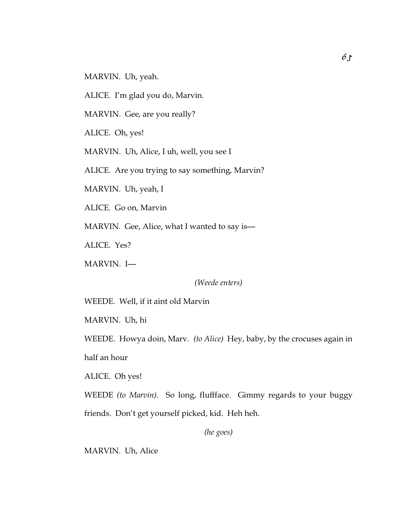MARVIN. Uh, yeah.

ALICE. I'm glad you do, Marvin.

MARVIN. Gee, are you really?

ALICE. Oh, yes!

MARVIN. Uh, Alice, I uh, well, you see I

ALICE. Are you trying to say something, Marvin?

MARVIN. Uh, yeah, I

ALICE. Go on, Marvin

MARVIN. Gee, Alice, what I wanted to say is—

ALICE. Yes?

MARVIN. I—

*(Weede enters)*

WEEDE. Well, if it aint old Marvin

MARVIN. Uh, hi

WEEDE. Howya doin, Marv. *(to Alice)* Hey, baby, by the crocuses again in

half an hour

ALICE. Oh yes!

WEEDE *(to Marvin)*. So long, fluffface. Gimmy regards to your buggy

friends. Don't get yourself picked, kid. Heh heh.

*(he goes)*

MARVIN. Uh, Alice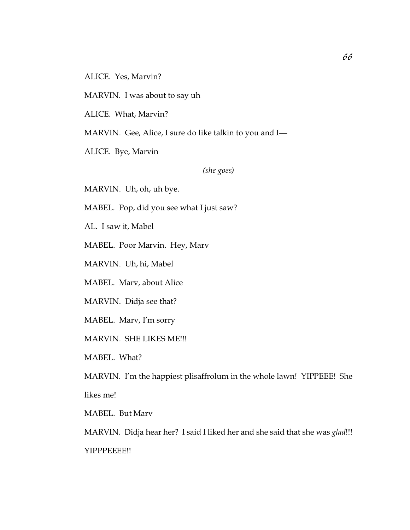MARVIN. I was about to say uh

ALICE. What, Marvin?

MARVIN. Gee, Alice, I sure do like talkin to you and I—

ALICE. Bye, Marvin

*(she goes)*

MARVIN. Uh, oh, uh bye.

MABEL. Pop, did you see what I just saw?

AL. I saw it, Mabel

MABEL. Poor Marvin. Hey, Marv

MARVIN. Uh, hi, Mabel

MABEL. Marv, about Alice

MARVIN. Didja see that?

MABEL. Marv, I'm sorry

MARVIN. SHE LIKES ME!!!

MABEL. What?

MARVIN. I'm the happiest plisaffrolum in the whole lawn! YIPPEEE! She likes me!

MABEL. But Marv

MARVIN. Didja hear her? I said I liked her and she said that she was *glad*!!! YIPPPEEEE!!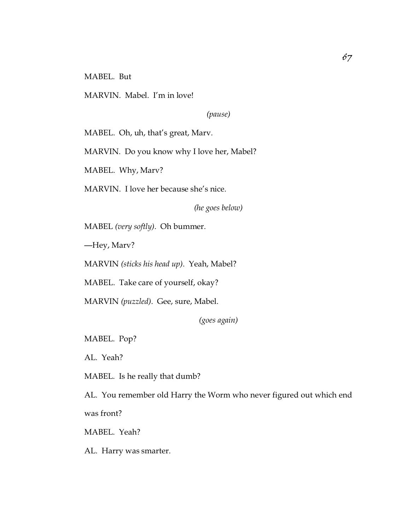MABEL. But

MARVIN. Mabel. I'm in love!

*(pause)*

MABEL. Oh, uh, that's great, Marv.

MARVIN. Do you know why I love her, Mabel?

MABEL. Why, Marv?

MARVIN. I love her because she's nice.

*(he goes below)*

MABEL *(very softly)*. Oh bummer.

—Hey, Marv?

MARVIN *(sticks his head up)*. Yeah, Mabel?

MABEL. Take care of yourself, okay?

MARVIN *(puzzled)*. Gee, sure, Mabel.

*(goes again)*

MABEL. Pop?

AL. Yeah?

MABEL. Is he really that dumb?

AL. You remember old Harry the Worm who never figured out which end was front?

MABEL. Yeah?

AL. Harry was smarter.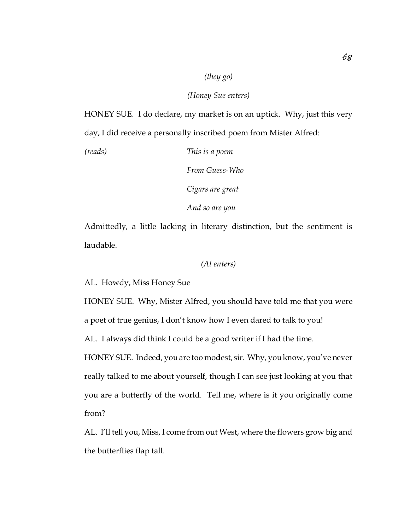### *(they go)*

#### *(Honey Sue enters)*

HONEY SUE. I do declare, my market is on an uptick. Why, just this very day, I did receive a personally inscribed poem from Mister Alfred:

*(reads) This is a poem*

*From Guess-Who*

*Cigars are great*

*And so are you*

Admittedly, a little lacking in literary distinction, but the sentiment is laudable.

### *(Al enters)*

AL. Howdy, Miss Honey Sue

HONEY SUE. Why, Mister Alfred, you should have told me that you were a poet of true genius, I don't know how I even dared to talk to you!

AL. I always did think I could be a good writer if I had the time.

HONEY SUE. Indeed, you are too modest, sir. Why, you know, you've never really talked to me about yourself, though I can see just looking at you that you are a butterfly of the world. Tell me, where is it you originally come from?

AL. I'll tell you, Miss, I come from out West, where the flowers grow big and the butterflies flap tall.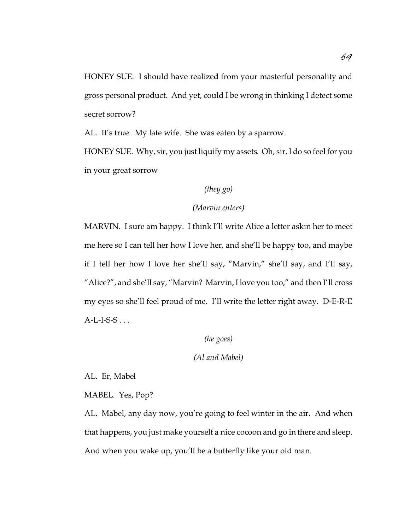HONEY SUE. I should have realized from your masterful personality and gross personal product. And yet, could I be wrong in thinking I detect some secret sorrow?

AL. It's true. My late wife. She was eaten by a sparrow.

HONEY SUE. Why, sir, you just liquify my assets. Oh, sir, I do so feel for you in your great sorrow

# *(they go)*

# *(Marvin enters)*

MARVIN. I sure am happy. I think I'll write Alice a letter askin her to meet me here so I can tell her how I love her, and she'll be happy too, and maybe if I tell her how I love her she'll say, "Marvin," she'll say, and I'll say, "Alice?", and she'll say, "Marvin? Marvin, I love you too," and then I'll cross my eyes so she'll feel proud of me. I'll write the letter right away. D-E-R-E  $A-L-I-S-S...$ 

# *(he goes)*

# *(Al and Mabel)*

AL. Er, Mabel

MABEL. Yes, Pop?

AL. Mabel, any day now, you're going to feel winter in the air. And when that happens, you just make yourself a nice cocoon and go in there and sleep. And when you wake up, you'll be a butterfly like your old man.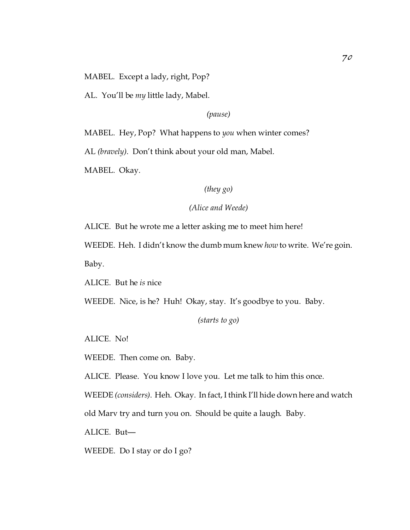MABEL. Except a lady, right, Pop?

AL. You'll be *my* little lady, Mabel.

*(pause)*

MABEL. Hey, Pop? What happens to *you* when winter comes?

AL *(bravely)*. Don't think about your old man, Mabel.

MABEL. Okay.

# *(they go)*

# *(Alice and Weede)*

ALICE. But he wrote me a letter asking me to meet him here!

WEEDE. Heh. I didn't know the dumb mum knew *how* to write. We're goin. Baby.

ALICE. But he *is* nice

WEEDE. Nice, is he? Huh! Okay, stay. It's goodbye to you. Baby.

*(starts to go)*

ALICE. No!

WEEDE. Then come on. Baby.

ALICE. Please. You know I love you. Let me talk to him this once.

WEEDE *(considers)*. Heh. Okay. In fact, I think I'll hide down here and watch

old Marv try and turn you on. Should be quite a laugh. Baby.

ALICE. But—

WEEDE. Do I stay or do I go?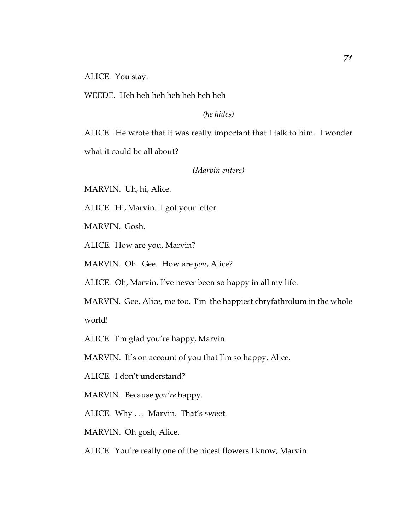ALICE. You stay.

WEEDE. Heh heh heh heh heh heh heh

*(he hides)*

ALICE. He wrote that it was really important that I talk to him. I wonder what it could be all about?

*(Marvin enters)*

MARVIN. Uh, hi, Alice.

ALICE. Hi, Marvin. I got your letter.

MARVIN. Gosh.

ALICE. How are you, Marvin?

MARVIN. Oh. Gee. How are *you*, Alice?

ALICE. Oh, Marvin, I've never been so happy in all my life.

MARVIN. Gee, Alice, me too. I'm the happiest chryfathrolum in the whole world!

ALICE. I'm glad you're happy, Marvin.

MARVIN. It's on account of you that I'm so happy, Alice.

ALICE. I don't understand?

MARVIN. Because *you're* happy.

ALICE. Why ... Marvin. That's sweet.

MARVIN. Oh gosh, Alice.

ALICE. You're really one of the nicest flowers I know, Marvin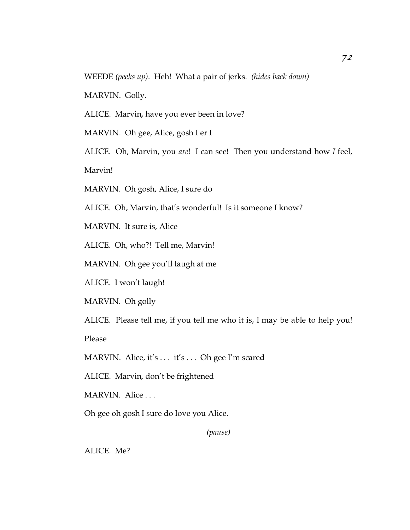WEEDE *(peeks up)*. Heh! What a pair of jerks. *(hides back down)*

MARVIN. Golly.

ALICE. Marvin, have you ever been in love?

MARVIN. Oh gee, Alice, gosh I er I

ALICE. Oh, Marvin, you *are*! I can see! Then you understand how *I* feel,

Marvin!

MARVIN. Oh gosh, Alice, I sure do

ALICE. Oh, Marvin, that's wonderful! Is it someone I know?

MARVIN. It sure is, Alice

ALICE. Oh, who?! Tell me, Marvin!

MARVIN. Oh gee you'll laugh at me

ALICE. I won't laugh!

MARVIN. Oh golly

ALICE. Please tell me, if you tell me who it is, I may be able to help you!

Please

MARVIN. Alice, it's . . . it's . . . Oh gee I'm scared

ALICE. Marvin, don't be frightened

MARVIN. Alice . . .

Oh gee oh gosh I sure do love you Alice.

*(pause)*

ALICE. Me?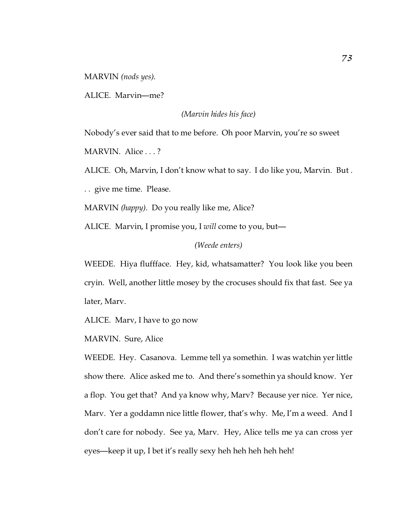MARVIN *(nods yes)*.

ALICE. Marvin—me?

*(Marvin hides his face)*

Nobody's ever said that to me before. Oh poor Marvin, you're so sweet

MARVIN. Alice . . . ?

ALICE. Oh, Marvin, I don't know what to say. I do like you, Marvin. But .

. . give me time. Please.

MARVIN *(happy)*. Do you really like me, Alice?

ALICE. Marvin, I promise you, I *will* come to you, but—

## *(Weede enters)*

WEEDE. Hiya fluffface. Hey, kid, whatsamatter? You look like you been cryin. Well, another little mosey by the crocuses should fix that fast. See ya later, Marv.

ALICE. Marv, I have to go now

MARVIN. Sure, Alice

WEEDE. Hey. Casanova. Lemme tell ya somethin. I was watchin yer little show there. Alice asked me to. And there's somethin ya should know. Yer a flop. You get that? And ya know why, Marv? Because yer nice. Yer nice, Marv. Yer a goddamn nice little flower, that's why. Me, I'm a weed. And I don't care for nobody. See ya, Marv. Hey, Alice tells me ya can cross yer eyes—keep it up, I bet it's really sexy heh heh heh heh heh!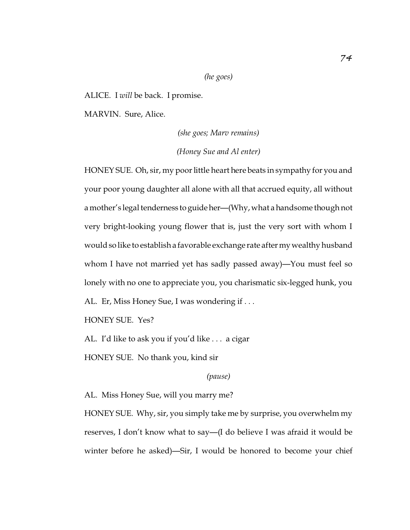## *(he goes)*

ALICE. I *will* be back. I promise.

MARVIN. Sure, Alice.

*(she goes; Marv remains) (Honey Sue and Al enter)*

HONEY SUE. Oh, sir, my poor little heart here beats in sympathy for you and your poor young daughter all alone with all that accrued equity, all without a mother's legal tenderness to guide her—(Why, what a handsome though not very bright-looking young flower that is, just the very sort with whom I would so like to establish a favorable exchange rate aftermy wealthy husband whom I have not married yet has sadly passed away)—You must feel so lonely with no one to appreciate you, you charismatic six-legged hunk, you AL. Er, Miss Honey Sue, I was wondering if ...

HONEY SUE. Yes?

AL. I'd like to ask you if you'd like . . . a cigar

HONEY SUE. No thank you, kind sir

*(pause)*

AL. Miss Honey Sue, will you marry me?

HONEY SUE. Why, sir, you simply take me by surprise, you overwhelm my reserves, I don't know what to say—(I do believe I was afraid it would be winter before he asked)—Sir, I would be honored to become your chief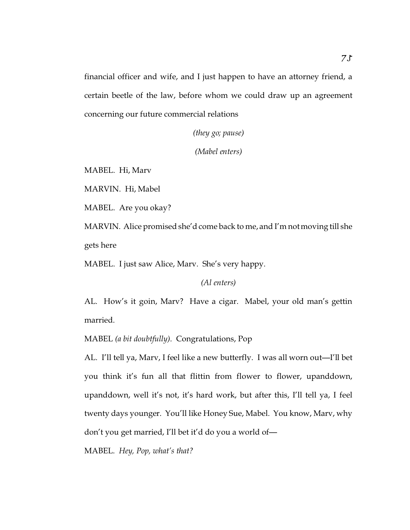financial officer and wife, and I just happen to have an attorney friend, a certain beetle of the law, before whom we could draw up an agreement concerning our future commercial relations

*(they go; pause)*

*(Mabel enters)*

MABEL. Hi, Marv

MARVIN. Hi, Mabel

MABEL. Are you okay?

MARVIN. Alice promised she'd come back to me, and I'm not moving till she gets here

MABEL. I just saw Alice, Marv. She's very happy.

*(Al enters)*

AL. How's it goin, Marv? Have a cigar. Mabel, your old man's gettin married.

MABEL *(a bit doubtfully)*. Congratulations, Pop

AL. I'll tell ya, Marv, I feel like a new butterfly. I was all worn out—I'll bet you think it's fun all that flittin from flower to flower, upanddown, upanddown, well it's not, it's hard work, but after this, I'll tell ya, I feel twenty days younger. You'll like Honey Sue, Mabel. You know, Marv, why don't you get married, I'll bet it'd do you a world of—

MABEL. *Hey, Pop, what's that?*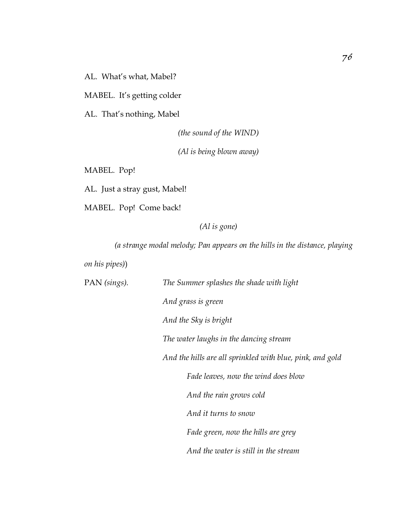AL. What's what, Mabel?

MABEL. It's getting colder

AL. That's nothing, Mabel

*(the sound of the WIND)*

*(Al is being blown away)*

MABEL. Pop!

AL. Just a stray gust, Mabel!

MABEL. Pop! Come back!

*(Al is gone)*

*(a strange modal melody; Pan appears on the hills in the distance, playing*

*on his pipes)*)

| PAN (sings). | The Summer splashes the shade with light                  |
|--------------|-----------------------------------------------------------|
|              | And grass is green                                        |
|              | And the Sky is bright                                     |
|              | The water laughs in the dancing stream                    |
|              | And the hills are all sprinkled with blue, pink, and gold |
|              | Fade leaves, now the wind does blow                       |
|              | And the rain grows cold                                   |
|              | And it turns to snow                                      |
|              | Fade green, now the hills are grey                        |
|              | And the water is still in the stream                      |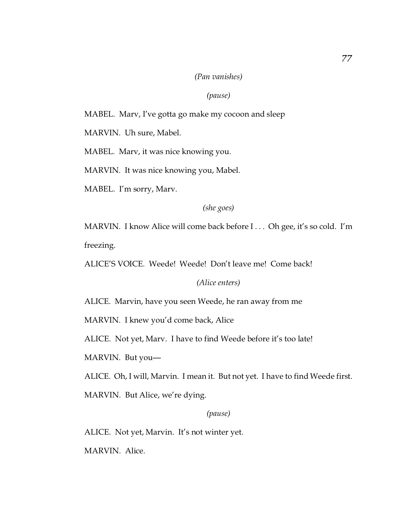## *(Pan vanishes)*

## *(pause)*

# MABEL. Marv, I've gotta go make my cocoon and sleep

MARVIN. Uh sure, Mabel.

MABEL. Marv, it was nice knowing you.

MARVIN. It was nice knowing you, Mabel.

MABEL. I'm sorry, Marv.

*(she goes)*

MARVIN. I know Alice will come back before I . . . Oh gee, it's so cold. I'm freezing.

ALICE'S VOICE. Weede! Weede! Don't leave me! Come back!

*(Alice enters)*

ALICE. Marvin, have you seen Weede, he ran away from me

MARVIN. I knew you'd come back, Alice

ALICE. Not yet, Marv. I have to find Weede before it's too late!

MARVIN. But you—

ALICE. Oh, I will, Marvin. I mean it. But not yet. I have to find Weede first.

MARVIN. But Alice, we're dying.

## *(pause)*

ALICE. Not yet, Marvin. It's not winter yet.

MARVIN. Alice.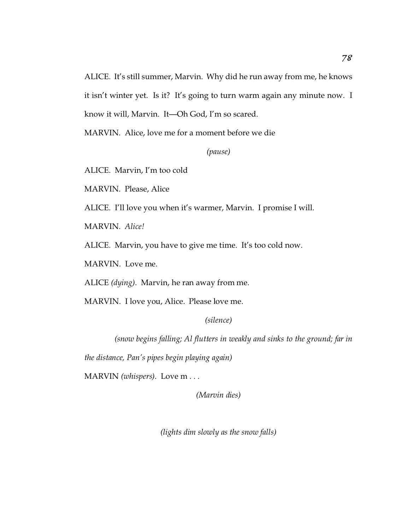ALICE. It's still summer, Marvin. Why did he run away from me, he knows it isn't winter yet. Is it? It's going to turn warm again any minute now. I know it will, Marvin. It—Oh God, I'm so scared.

MARVIN. Alice, love me for a moment before we die

*(pause)*

ALICE. Marvin, I'm too cold

MARVIN. Please, Alice

ALICE. I'll love you when it's warmer, Marvin. I promise I will.

MARVIN. *Alice!*

ALICE. Marvin, you have to give me time. It's too cold now.

MARVIN. Love me.

ALICE *(dying)*. Marvin, he ran away from me.

MARVIN. I love you, Alice. Please love me.

*(silence)*

*(snow begins falling; Al flutters in weakly and sinks to the ground; far in*

*the distance, Pan's pipes begin playing again)*

MARVIN *(whispers)*. Love m . . .

*(Marvin dies)*

*(lights dim slowly as the snow falls)*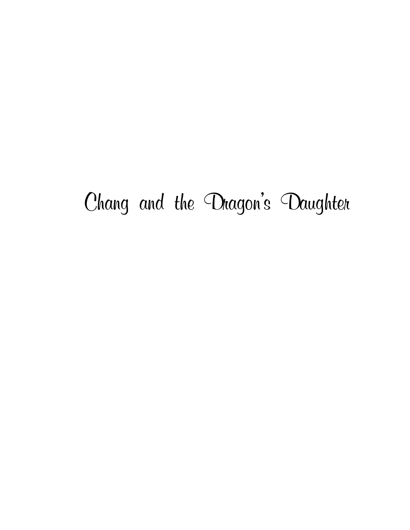# Chang and the Dragon's Daughter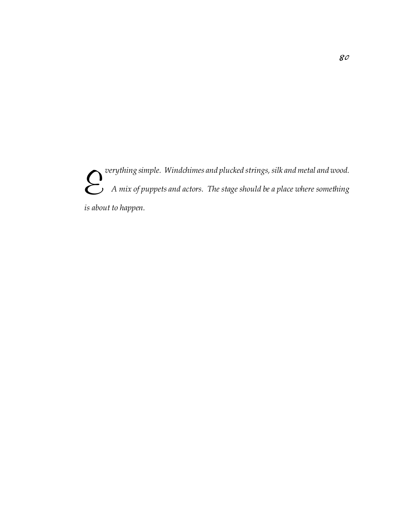E  *verything simple. Windchimes and plucked strings, silk and metal and wood. A mix of puppets and actors. The stage should be a place where something is about to happen.*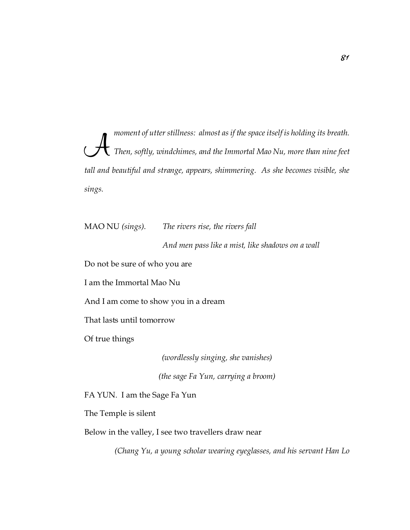$\mathcal{A}$  *moment of utter stillness: almost as if the space itself is holding its breath. Then, softly, windchimes, and the Immortal Mao Nu, more than nine feet tall and beautiful and strange, appears, shimmering. As she becomes visible, she sings.*

MAO NU *(sings)*. *The rivers rise, the rivers fall*

*And men pass like a mist, like shadows on a wall*

Do not be sure of who you are

I am the Immortal Mao Nu

And I am come to show you in a dream

That lasts until tomorrow

Of true things

*(wordlessly singing, she vanishes)*

*(the sage Fa Yun, carrying a broom)*

FA YUN. I am the Sage Fa Yun

The Temple is silent

Below in the valley, I see two travellers draw near

*(Chang Yu, a young scholar wearing eyeglasses, and his servant Han Lo*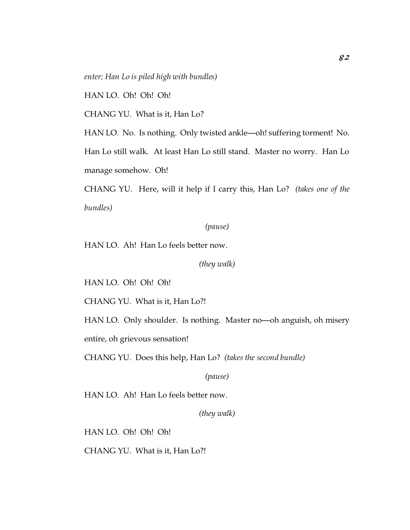*enter; Han Lo is piled high with bundles)*

HAN LO. Oh! Oh! Oh!

CHANG YU. What is it, Han Lo?

HAN LO. No. Is nothing. Only twisted ankle—oh! suffering torment! No. Han Lo still walk. At least Han Lo still stand. Master no worry. Han Lo manage somehow. Oh!

CHANG YU. Here, will it help if I carry this, Han Lo? *(takes one of the bundles)*

## *(pause)*

HAN LO. Ah! Han Lo feels better now.

*(they walk)*

HAN LO. Oh! Oh! Oh!

CHANG YU. What is it, Han Lo?!

HAN LO. Only shoulder. Is nothing. Master no—oh anguish, oh misery entire, oh grievous sensation!

CHANG YU. Does this help, Han Lo? *(takes the second bundle)*

*(pause)*

HAN LO. Ah! Han Lo feels better now.

*(they walk)*

HAN LO. Oh! Oh! Oh!

CHANG YU. What is it, Han Lo?!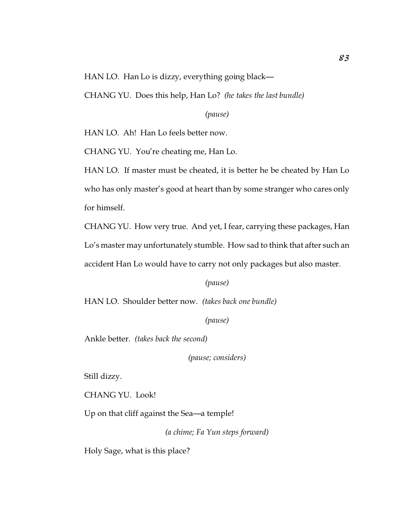HAN LO. Han Lo is dizzy, everything going black—

CHANG YU. Does this help, Han Lo? *(he takes the last bundle)*

*(pause)*

HAN LO. Ah! Han Lo feels better now.

CHANG YU. You're cheating me, Han Lo.

HAN LO. If master must be cheated, it is better he be cheated by Han Lo who has only master's good at heart than by some stranger who cares only for himself.

CHANG YU. How very true. And yet, I fear, carrying these packages, Han Lo's master may unfortunately stumble. How sad to think that after such an accident Han Lo would have to carry not only packages but also master.

*(pause)*

HAN LO. Shoulder better now. *(takes back one bundle)*

*(pause)*

Ankle better. *(takes back the second)*

*(pause; considers)*

Still dizzy.

CHANG YU. Look!

Up on that cliff against the Sea—a temple!

*(a chime; Fa Yun steps forward)*

Holy Sage, what is this place?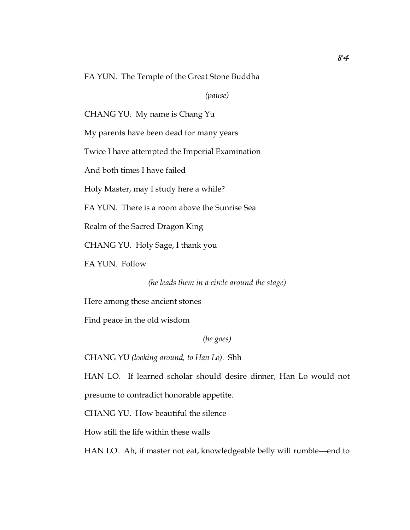FA YUN. The Temple of the Great Stone Buddha

*(pause)*

CHANG YU. My name is Chang Yu

My parents have been dead for many years

Twice I have attempted the Imperial Examination

And both times I have failed

Holy Master, may I study here a while?

FA YUN. There is a room above the Sunrise Sea

Realm of the Sacred Dragon King

CHANG YU. Holy Sage, I thank you

FA YUN. Follow

*(he leads them in a circle around the stage)*

Here among these ancient stones

Find peace in the old wisdom

*(he goes)*

CHANG YU *(looking around, to Han Lo)*. Shh

HAN LO. If learned scholar should desire dinner, Han Lo would not presume to contradict honorable appetite.

CHANG YU. How beautiful the silence

How still the life within these walls

HAN LO. Ah, if master not eat, knowledgeable belly will rumble—end to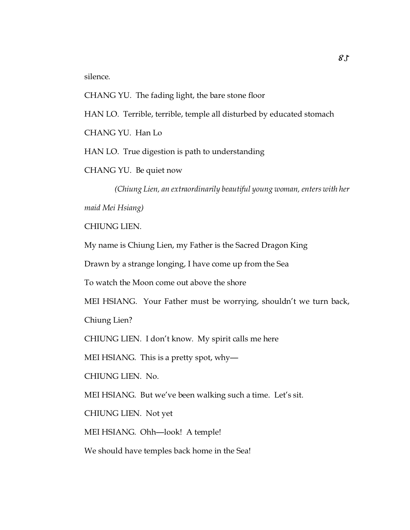silence.

CHANG YU. The fading light, the bare stone floor HAN LO. Terrible, terrible, temple all disturbed by educated stomach CHANG YU. Han Lo HAN LO. True digestion is path to understanding

CHANG YU. Be quiet now

*(Chiung Lien, an extraordinarily beautiful young woman, enters with her*

*maid Mei Hsiang)*

CHIUNG LIEN.

My name is Chiung Lien, my Father is the Sacred Dragon King

Drawn by a strange longing, I have come up from the Sea

To watch the Moon come out above the shore

MEI HSIANG. Your Father must be worrying, shouldn't we turn back,

Chiung Lien?

CHIUNG LIEN. I don't know. My spirit calls me here

MEI HSIANG. This is a pretty spot, why—

CHIUNG LIEN. No.

MEI HSIANG. But we've been walking such a time. Let's sit.

CHIUNG LIEN. Not yet

MEI HSIANG. Ohh—look! A temple!

We should have temples back home in the Sea!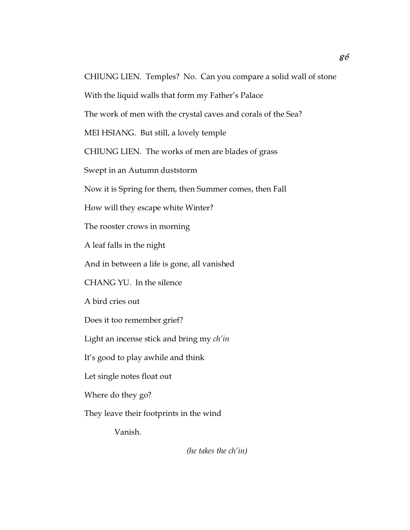CHIUNG LIEN. Temples? No. Can you compare a solid wall of stone With the liquid walls that form my Father's Palace The work of men with the crystal caves and corals of the Sea? MEI HSIANG. But still, a lovely temple CHIUNG LIEN. The works of men are blades of grass Swept in an Autumn duststorm Now it is Spring for them, then Summer comes, then Fall How will they escape white Winter? The rooster crows in morning A leaf falls in the night And in between a life is gone, all vanished CHANG YU. In the silence A bird cries out Does it too remember grief? Light an incense stick and bring my *ch'in* It's good to play awhile and think Let single notes float out Where do they go? They leave their footprints in the wind Vanish.

*(he takes the ch'in)*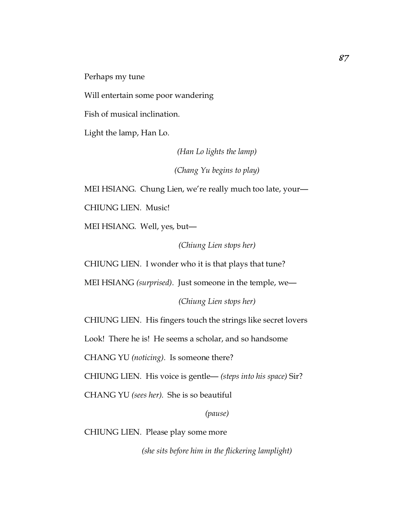Perhaps my tune

Will entertain some poor wandering

Fish of musical inclination.

Light the lamp, Han Lo.

*(Han Lo lights the lamp)*

*(Chang Yu begins to play)*

MEI HSIANG. Chung Lien, we're really much too late, your—

CHIUNG LIEN. Music!

MEI HSIANG. Well, yes, but—

*(Chiung Lien stops her)*

CHIUNG LIEN. I wonder who it is that plays that tune?

MEI HSIANG *(surprised)*. Just someone in the temple, we—

*(Chiung Lien stops her)*

CHIUNG LIEN. His fingers touch the strings like secret lovers

Look! There he is! He seems a scholar, and so handsome

CHANG YU *(noticing)*. Is someone there?

CHIUNG LIEN. His voice is gentle— *(steps into his space)* Sir?

CHANG YU *(sees her)*. She is so beautiful

*(pause)*

CHIUNG LIEN. Please play some more

*(she sits before him in the flickering lamplight)*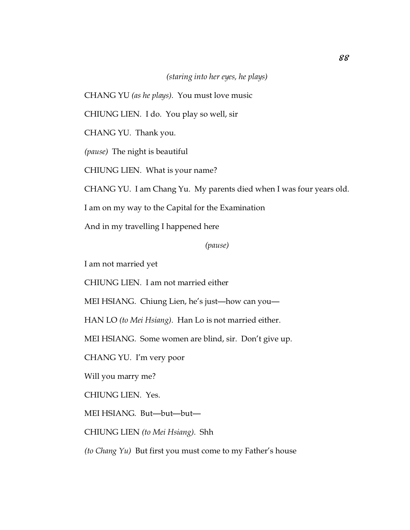# *(staring into her eyes, he plays)*

CHANG YU *(as he plays)*. You must love music

CHIUNG LIEN. I do. You play so well, sir

CHANG YU. Thank you.

*(pause)* The night is beautiful

CHIUNG LIEN. What is your name?

CHANG YU. I am Chang Yu. My parents died when I was four years old.

I am on my way to the Capital for the Examination

And in my travelling I happened here

*(pause)*

I am not married yet

CHIUNG LIEN. I am not married either

MEI HSIANG. Chiung Lien, he's just—how can you—

HAN LO *(to Mei Hsiang)*. Han Lo is not married either.

MEI HSIANG. Some women are blind, sir. Don't give up.

CHANG YU. I'm very poor

Will you marry me?

CHIUNG LIEN. Yes.

MEI HSIANG. But—but—but—

CHIUNG LIEN *(to Mei Hsiang)*. Shh

*(to Chang Yu)* But first you must come to my Father's house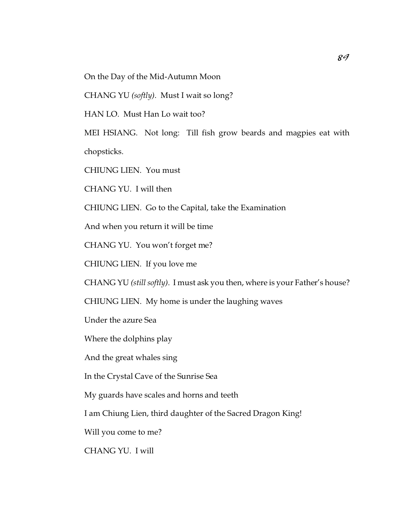On the Day of the Mid-Autumn Moon

CHANG YU *(softly)*. Must I wait so long?

HAN LO. Must Han Lo wait too?

MEI HSIANG. Not long: Till fish grow beards and magpies eat with chopsticks.

CHIUNG LIEN. You must

CHANG YU. I will then

CHIUNG LIEN. Go to the Capital, take the Examination

And when you return it will be time

CHANG YU. You won't forget me?

CHIUNG LIEN. If you love me

CHANG YU *(still softly)*. I must ask you then, where is your Father's house?

CHIUNG LIEN. My home is under the laughing waves

Under the azure Sea

Where the dolphins play

And the great whales sing

In the Crystal Cave of the Sunrise Sea

My guards have scales and horns and teeth

I am Chiung Lien, third daughter of the Sacred Dragon King!

Will you come to me?

CHANG YU. I will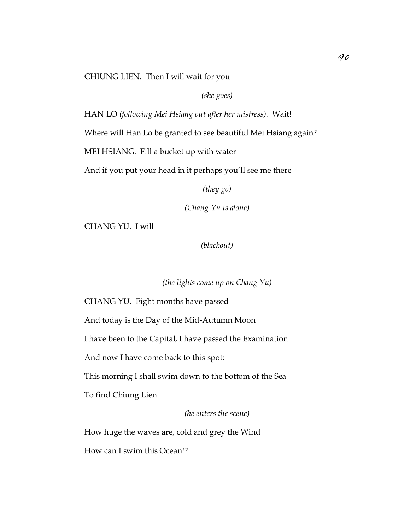CHIUNG LIEN. Then I will wait for you

*(she goes)*

HAN LO *(following Mei Hsiang out after her mistress)*. Wait!

Where will Han Lo be granted to see beautiful Mei Hsiang again?

MEI HSIANG. Fill a bucket up with water

And if you put your head in it perhaps you'll see me there

*(they go)*

*(Chang Yu is alone)*

CHANG YU. I will

*(blackout)*

*(the lights come up on Chang Yu)*

CHANG YU. Eight months have passed

And today is the Day of the Mid-Autumn Moon

I have been to the Capital, I have passed the Examination

And now I have come back to this spot:

This morning I shall swim down to the bottom of the Sea

To find Chiung Lien

*(he enters the scene)*

How huge the waves are, cold and grey the Wind

How can I swim this Ocean!?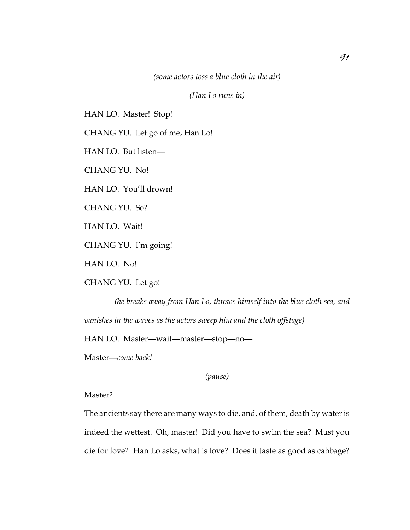*(some actors toss a blue cloth in the air)*

*(Han Lo runs in)*

HAN LO. Master! Stop!

CHANG YU. Let go of me, Han Lo!

HAN LO. But listen—

CHANG YU. No!

HAN LO. You'll drown!

CHANG YU. So?

HAN LO. Wait!

CHANG YU. I'm going!

HAN LO. No!

CHANG YU. Let go!

*(he breaks away from Han Lo, throws himself into the blue cloth sea, and vanishes in the waves as the actors sweep him and the cloth offstage)*

HAN LO. Master—wait—master—stop—no—

Master—*come back!*

*(pause)*

Master?

The ancients say there are many ways to die, and, of them, death by water is indeed the wettest. Oh, master! Did you have to swim the sea? Must you die for love? Han Lo asks, what is love? Does it taste as good as cabbage?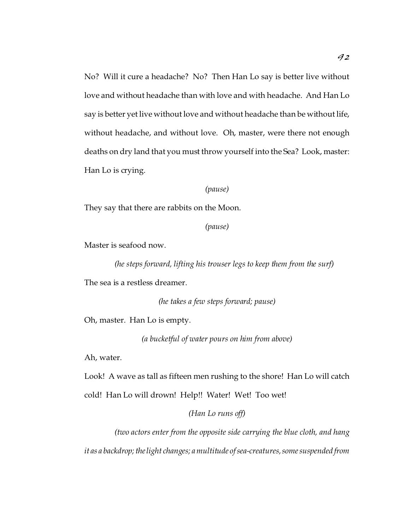No? Will it cure a headache? No? Then Han Lo say is better live without love and without headache than with love and with headache. And Han Lo say is better yet live without love and without headache than be without life, without headache, and without love. Oh, master, were there not enough deaths on dry land that you must throw yourself into the Sea? Look, master: Han Lo is crying.

*(pause)*

They say that there are rabbits on the Moon.

*(pause)*

Master is seafood now.

*(he steps forward, lifting his trouser legs to keep them from the surf)*

The sea is a restless dreamer.

*(he takes a few steps forward; pause)*

Oh, master. Han Lo is empty.

*(a bucketful of water pours on him from above)*

Ah, water.

Look! A wave as tall as fifteen men rushing to the shore! Han Lo will catch cold! Han Lo will drown! Help!! Water! Wet! Too wet!

# *(Han Lo runs off)*

*(two actors enter from the opposite side carrying the blue cloth, and hang it as a backdrop; the light changes; a multitude of sea-creatures, some suspended from*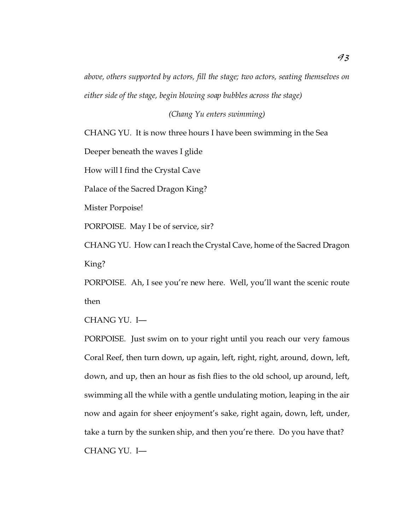*above, others supported by actors, fill the stage; two actors, seating themselves on either side of the stage, begin blowing soap bubbles across the stage)*

*(Chang Yu enters swimming)*

CHANG YU. It is now three hours I have been swimming in the Sea

Deeper beneath the waves I glide

How will I find the Crystal Cave

Palace of the Sacred Dragon King?

Mister Porpoise!

PORPOISE. May I be of service, sir?

CHANG YU. How can I reach the Crystal Cave, home of the Sacred Dragon King?

PORPOISE. Ah, I see you're new here. Well, you'll want the scenic route then

CHANG YU. I—

PORPOISE. Just swim on to your right until you reach our very famous Coral Reef, then turn down, up again, left, right, right, around, down, left, down, and up, then an hour as fish flies to the old school, up around, left, swimming all the while with a gentle undulating motion, leaping in the air now and again for sheer enjoyment's sake, right again, down, left, under, take a turn by the sunken ship, and then you're there. Do you have that? CHANG YU. I—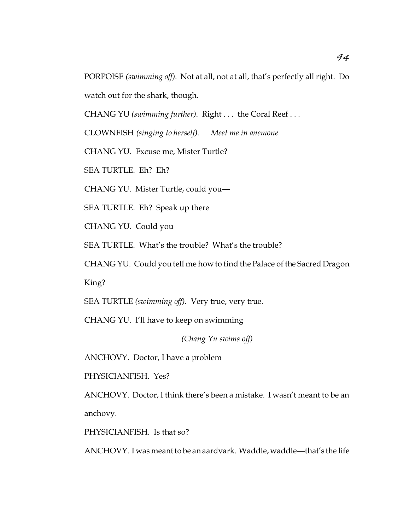PORPOISE *(swimming off)*. Not at all, not at all, that's perfectly all right. Do watch out for the shark, though.

CHANG YU *(swimming further)*. Right . . . the Coral Reef . . .

CLOWNFISH *(singing to herself)*. *Meet me in anemone*

CHANG YU. Excuse me, Mister Turtle?

SEA TURTLE. Eh? Eh?

CHANG YU. Mister Turtle, could you—

SEA TURTLE. Eh? Speak up there

CHANG YU. Could you

SEA TURTLE. What's the trouble? What's the trouble?

CHANG YU. Could you tell me how to find the Palace of the Sacred Dragon

King?

SEA TURTLE *(swimming off)*. Very true, very true.

CHANG YU. I'll have to keep on swimming

*(Chang Yu swims off)*

ANCHOVY. Doctor, I have a problem

PHYSICIANFISH. Yes?

ANCHOVY. Doctor, I think there's been a mistake. I wasn't meant to be an anchovy.

PHYSICIANFISH. Is that so?

ANCHOVY. I was meant to be an aardvark. Waddle, waddle—that's the life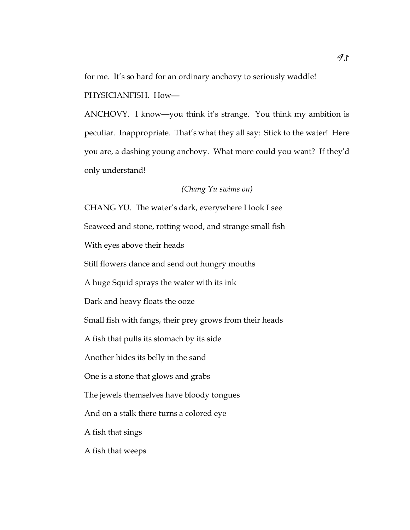for me. It's so hard for an ordinary anchovy to seriously waddle!

PHYSICIANFISH. How—

ANCHOVY. I know—you think it's strange. You think my ambition is peculiar. Inappropriate. That's what they all say: Stick to the water! Here you are, a dashing young anchovy. What more could you want? If they'd only understand!

*(Chang Yu swims on)*

CHANG YU. The water's dark, everywhere I look I see Seaweed and stone, rotting wood, and strange small fish With eyes above their heads Still flowers dance and send out hungry mouths A huge Squid sprays the water with its ink Dark and heavy floats the ooze Small fish with fangs, their prey grows from their heads A fish that pulls its stomach by its side Another hides its belly in the sand One is a stone that glows and grabs The jewels themselves have bloody tongues And on a stalk there turns a colored eye A fish that sings A fish that weeps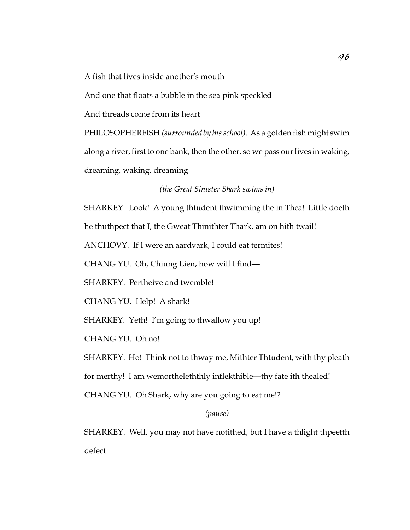A fish that lives inside another's mouth

And one that floats a bubble in the sea pink speckled

And threads come from its heart

PHILOSOPHERFISH *(surrounded by his school)*. As a golden fish might swim along a river, first to one bank, then the other, so we pass our lives in waking, dreaming, waking, dreaming

*(the Great Sinister Shark swims in)*

SHARKEY. Look! A young thtudent thwimming the in Thea! Little doeth

he thuthpect that I, the Gweat Thinithter Thark, am on hith twail!

ANCHOVY. If I were an aardvark, I could eat termites!

CHANG YU. Oh, Chiung Lien, how will I find—

SHARKEY. Pertheive and twemble!

CHANG YU. Help! A shark!

SHARKEY. Yeth! I'm going to thwallow you up!

CHANG YU. Oh no!

SHARKEY. Ho! Think not to thway me, Mithter Thtudent, with thy pleath for merthy! I am wemortheleththly inflekthible—thy fate ith thealed! CHANG YU. Oh Shark, why are you going to eat me!?

# *(pause)*

SHARKEY. Well, you may not have notithed, but I have a thlight thpeetth defect.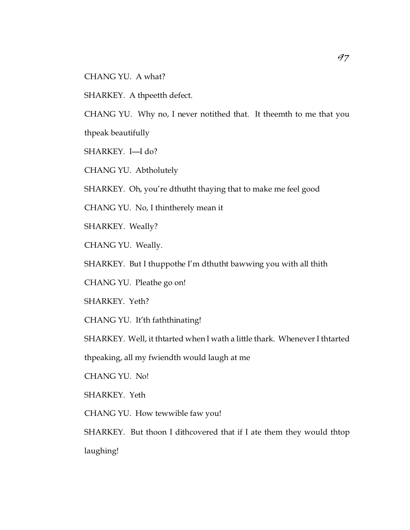CHANG YU. A what?

SHARKEY. A thpeetth defect.

CHANG YU. Why no, I never notithed that. It theemth to me that you thpeak beautifully

SHARKEY. I—I do?

CHANG YU. Abtholutely

SHARKEY. Oh, you're dthutht thaying that to make me feel good

CHANG YU. No, I thintherely mean it

SHARKEY. Weally?

CHANG YU. Weally.

SHARKEY. But I thuppothe I'm dthutht bawwing you with all thith

CHANG YU. Pleathe go on!

SHARKEY. Yeth?

CHANG YU. It'th faththinating!

SHARKEY. Well, it thtarted when I wath a little thark. Whenever I thtarted

thpeaking, all my fwiendth would laugh at me

CHANG YU. No!

SHARKEY. Yeth

CHANG YU. How tewwible faw you!

SHARKEY. But thoon I dithcovered that if I ate them they would thtop laughing!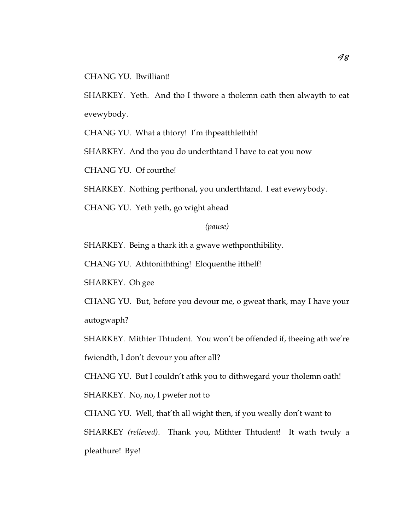CHANG YU. Bwilliant!

SHARKEY. Yeth. And tho I thwore a tholemn oath then alwayth to eat evewybody.

CHANG YU. What a thtory! I'm thpeatthlethth!

SHARKEY. And tho you do underthtand I have to eat you now

CHANG YU. Of courthe!

SHARKEY. Nothing perthonal, you underthtand. I eat evewybody.

CHANG YU. Yeth yeth, go wight ahead

### *(pause)*

SHARKEY. Being a thark ith a gwave wethponthibility.

CHANG YU. Athtoniththing! Eloquenthe itthelf!

SHARKEY. Oh gee

CHANG YU. But, before you devour me, o gweat thark, may I have your autogwaph?

SHARKEY. Mithter Thtudent. You won't be offended if, theeing ath we're fwiendth, I don't devour you after all?

CHANG YU. But I couldn't athk you to dithwegard your tholemn oath! SHARKEY. No, no, I pwefer not to

CHANG YU. Well, that'th all wight then, if you weally don't want to SHARKEY *(relieved)*. Thank you, Mithter Thtudent! It wath twuly a pleathure! Bye!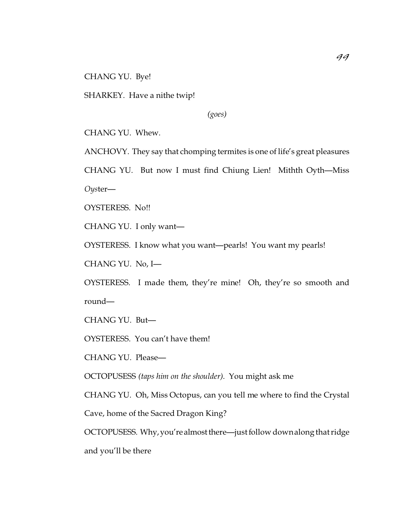CHANG YU. Bye!

SHARKEY. Have a nithe twip!

*(goes)*

CHANG YU. Whew.

ANCHOVY. They say that chomping termites is one of life's great pleasures

CHANG YU. But now I must find Chiung Lien! Mithth Oyth—Miss

*Oys*ter—

OYSTERESS. No!!

CHANG YU. I only want—

OYSTERESS. I know what you want—pearls! You want my pearls!

CHANG YU. No, I—

OYSTERESS. I made them, they're mine! Oh, they're so smooth and round—

CHANG YU. But—

OYSTERESS. You can't have them!

CHANG YU. Please—

OCTOPUSESS *(taps him on the shoulder)*. You might ask me

CHANG YU. Oh, Miss Octopus, can you tell me where to find the Crystal

Cave, home of the Sacred Dragon King?

OCTOPUSESS. Why,you're almostthere—just follow down along that ridge and you'll be there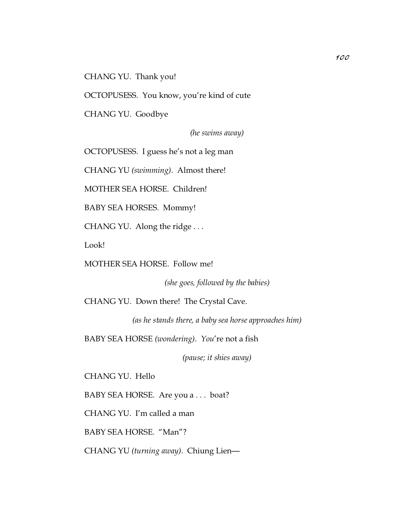CHANG YU. Thank you!

OCTOPUSESS. You know, you're kind of cute

CHANG YU. Goodbye

*(he swims away)*

OCTOPUSESS. I guess he's not a leg man

CHANG YU *(swimming)*. Almost there!

MOTHER SEA HORSE. Children!

BABY SEA HORSES. Mommy!

CHANG YU. Along the ridge . . .

Look!

MOTHER SEA HORSE. Follow me!

*(she goes, followed by the babies)*

CHANG YU. Down there! The Crystal Cave.

*(as he stands there, a baby sea horse approaches him)*

BABY SEA HORSE *(wondering)*. *You*'re not a fish

*(pause; it shies away)*

CHANG YU. Hello

BABY SEA HORSE. Are you a . . . boat?

CHANG YU. I'm called a man

BABY SEA HORSE. "Man"?

CHANG YU *(turning away)*. Chiung Lien—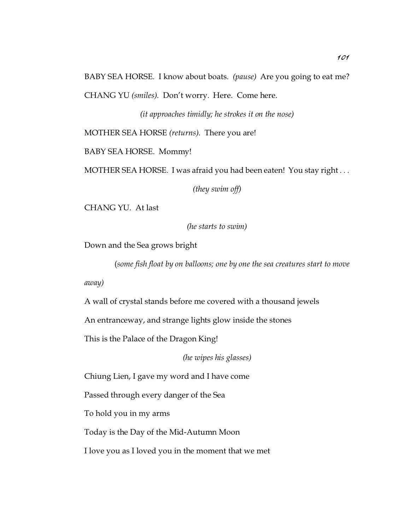BABY SEA HORSE. I know about boats. *(pause)* Are you going to eat me? CHANG YU *(smiles)*. Don't worry. Here. Come here.

*(it approaches timidly; he strokes it on the nose)*

MOTHER SEA HORSE *(returns)*. There you are!

BABY SEA HORSE. Mommy!

MOTHER SEA HORSE. I was afraid you had been eaten! You stay right . . .

*(they swim off)*

CHANG YU. At last

*(he starts to swim)*

Down and the Sea grows bright

(*some fish float by on balloons; one by one the sea creatures start to move*

*away)*

A wall of crystal stands before me covered with a thousand jewels

An entranceway, and strange lights glow inside the stones

This is the Palace of the Dragon King!

*(he wipes his glasses)*

Chiung Lien, I gave my word and I have come

Passed through every danger of the Sea

To hold you in my arms

Today is the Day of the Mid-Autumn Moon

I love you as I loved you in the moment that we met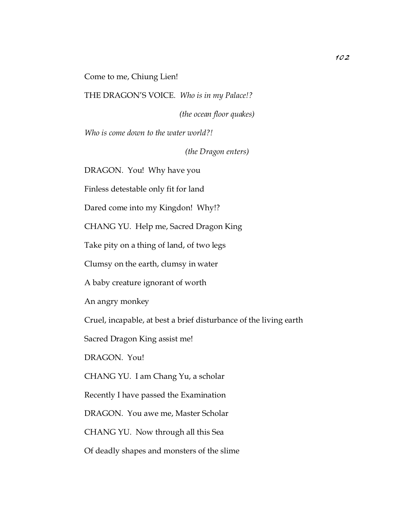Come to me, Chiung Lien!

THE DRAGON'S VOICE. *Who is in my Palace!?*

*(the ocean floor quakes)*

*Who is come down to the water world?!*

*(the Dragon enters)*

DRAGON. You! Why have you

Finless detestable only fit for land

Dared come into my Kingdon! Why!?

CHANG YU. Help me, Sacred Dragon King

Take pity on a thing of land, of two legs

Clumsy on the earth, clumsy in water

A baby creature ignorant of worth

An angry monkey

Cruel, incapable, at best a brief disturbance of the living earth

Sacred Dragon King assist me!

DRAGON. You!

CHANG YU. I am Chang Yu, a scholar

Recently I have passed the Examination

DRAGON. You awe me, Master Scholar

CHANG YU. Now through all this Sea

Of deadly shapes and monsters of the slime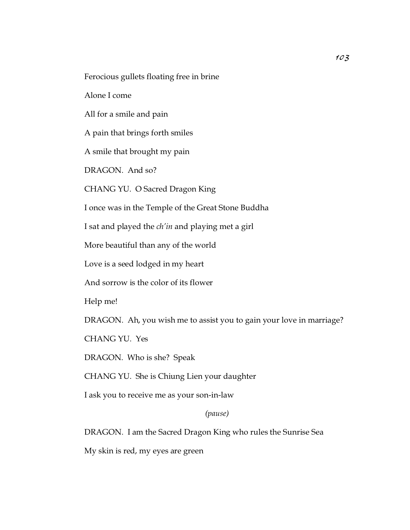Ferocious gullets floating free in brine

Alone I come

All for a smile and pain

A pain that brings forth smiles

A smile that brought my pain

DRAGON. And so?

CHANG YU. O Sacred Dragon King

I once was in the Temple of the Great Stone Buddha

I sat and played the *ch'in* and playing met a girl

More beautiful than any of the world

Love is a seed lodged in my heart

And sorrow is the color of its flower

Help me!

DRAGON. Ah, you wish me to assist you to gain your love in marriage?

CHANG YU. Yes

DRAGON. Who is she? Speak

CHANG YU. She is Chiung Lien your daughter

I ask you to receive me as your son-in-law

#### *(pause)*

DRAGON. I am the Sacred Dragon King who rules the Sunrise Sea

My skin is red, my eyes are green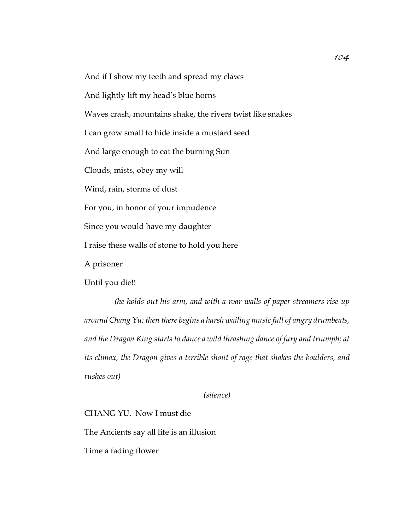And if I show my teeth and spread my claws

And lightly lift my head's blue horns

Waves crash, mountains shake, the rivers twist like snakes

I can grow small to hide inside a mustard seed

And large enough to eat the burning Sun

Clouds, mists, obey my will

Wind, rain, storms of dust

For you, in honor of your impudence

Since you would have my daughter

I raise these walls of stone to hold you here

A prisoner

Until you die!!

*(he holds out his arm, and with a roar walls of paper streamers rise up around Chang Yu; then there begins a harsh wailing music full of angry drumbeats, and the Dragon King starts to dance a wild thrashing dance of fury and triumph; at its climax, the Dragon gives a terrible shout of rage that shakes the boulders, and rushes out)*

*(silence)*

CHANG YU. Now I must die

The Ancients say all life is an illusion

Time a fading flower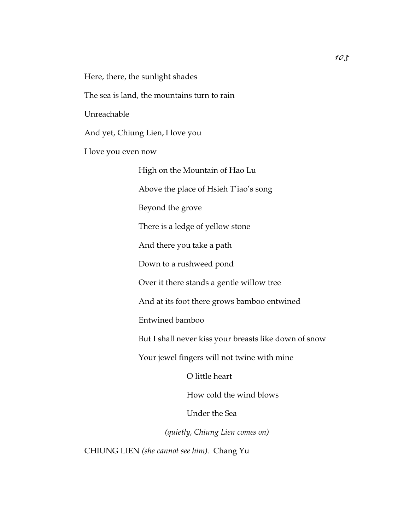Here, there, the sunlight shades

The sea is land, the mountains turn to rain

Unreachable

And yet, Chiung Lien, I love you

I love you even now

High on the Mountain of Hao Lu Above the place of Hsieh T'iao's song Beyond the grove There is a ledge of yellow stone And there you take a path Down to a rushweed pond Over it there stands a gentle willow tree And at its foot there grows bamboo entwined Entwined bamboo But I shall never kiss your breasts like down of snow Your jewel fingers will not twine with mine O little heart How cold the wind blows Under the Sea

*(quietly, Chiung Lien comes on)*

CHIUNG LIEN *(she cannot see him)*. Chang Yu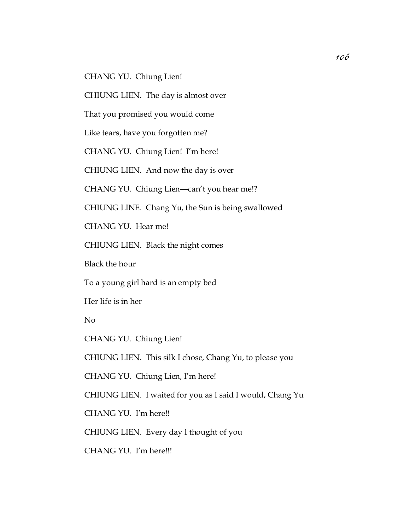CHANG YU. Chiung Lien!

CHIUNG LIEN. The day is almost over

That you promised you would come

Like tears, have you forgotten me?

CHANG YU. Chiung Lien! I'm here!

CHIUNG LIEN. And now the day is over

CHANG YU. Chiung Lien—can't you hear me!?

CHIUNG LINE. Chang Yu, the Sun is being swallowed

CHANG YU. Hear me!

CHIUNG LIEN. Black the night comes

Black the hour

To a young girl hard is an empty bed

Her life is in her

No

CHANG YU. Chiung Lien!

CHIUNG LIEN. This silk I chose, Chang Yu, to please you

CHANG YU. Chiung Lien, I'm here!

CHIUNG LIEN. I waited for you as I said I would, Chang Yu

CHANG YU. I'm here!!

CHIUNG LIEN. Every day I thought of you

CHANG YU. I'm here!!!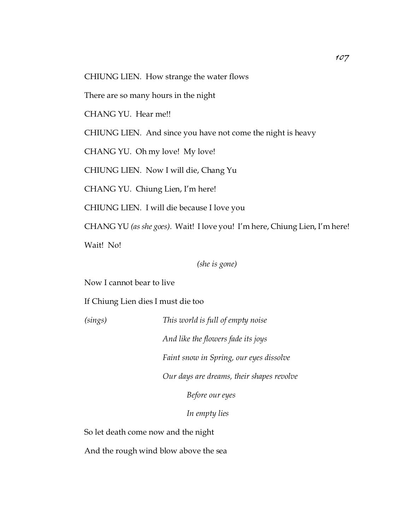CHIUNG LIEN. How strange the water flows

There are so many hours in the night

CHANG YU. Hear me!!

CHIUNG LIEN. And since you have not come the night is heavy

CHANG YU. Oh my love! My love!

CHIUNG LIEN. Now I will die, Chang Yu

CHANG YU. Chiung Lien, I'm here!

CHIUNG LIEN. I will die because I love you

CHANG YU *(as she goes)*. Wait! I love you! I'm here, Chiung Lien, I'm here!

Wait! No!

*(she is gone)*

Now I cannot bear to live

If Chiung Lien dies I must die too

*(sings) This world is full of empty noise*

*And like the flowers fade its joys*

*Faint snow in Spring, our eyes dissolve*

*Our days are dreams, their shapes revolve*

*Before our eyes*

*In empty lies*

So let death come now and the night

And the rough wind blow above the sea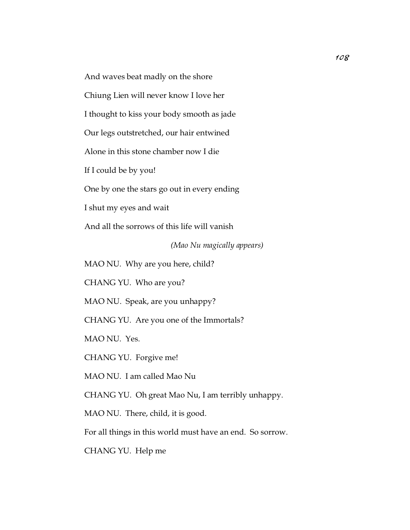And waves beat madly on the shore

Chiung Lien will never know I love her

I thought to kiss your body smooth as jade

Our legs outstretched, our hair entwined

Alone in this stone chamber now I die

If I could be by you!

One by one the stars go out in every ending

I shut my eyes and wait

And all the sorrows of this life will vanish

*(Mao Nu magically appears)*

MAO NU. Why are you here, child?

CHANG YU. Who are you?

MAO NU. Speak, are you unhappy?

CHANG YU. Are you one of the Immortals?

MAO NU. Yes.

CHANG YU. Forgive me!

MAO NU. I am called Mao Nu

CHANG YU. Oh great Mao Nu, I am terribly unhappy.

MAO NU. There, child, it is good.

For all things in this world must have an end. So sorrow.

CHANG YU. Help me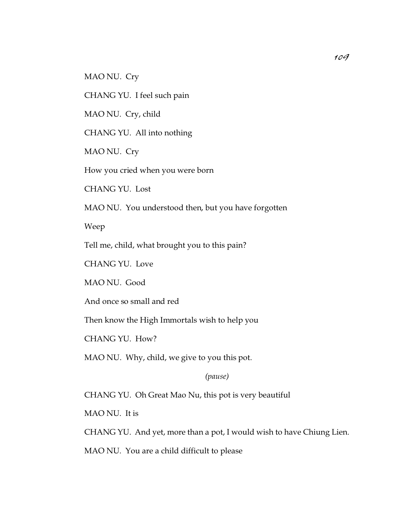MAO NU. Cry

CHANG YU. I feel such pain

MAO NU. Cry, child

CHANG YU. All into nothing

MAO NU. Cry

How you cried when you were born

CHANG YU. Lost

MAO NU. You understood then, but you have forgotten

Weep

Tell me, child, what brought you to this pain?

CHANG YU. Love

MAO NU. Good

And once so small and red

Then know the High Immortals wish to help you

CHANG YU. How?

MAO NU. Why, child, we give to you this pot.

*(pause)*

CHANG YU. Oh Great Mao Nu, this pot is very beautiful

MAO NU. It is

CHANG YU. And yet, more than a pot, I would wish to have Chiung Lien.

MAO NU. You are a child difficult to please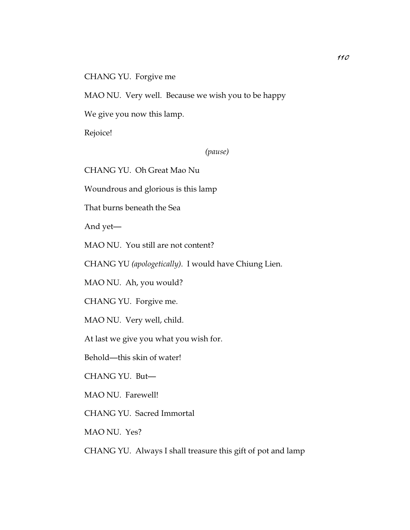CHANG YU. Forgive me

MAO NU. Very well. Because we wish you to be happy

We give you now this lamp.

Rejoice!

*(pause)*

CHANG YU. Oh Great Mao Nu

Woundrous and glorious is this lamp

That burns beneath the Sea

And yet—

MAO NU. You still are not content?

CHANG YU *(apologetically)*. I would have Chiung Lien.

MAO NU. Ah, you would?

CHANG YU. Forgive me.

MAO NU. Very well, child.

At last we give you what you wish for.

Behold—this skin of water!

CHANG YU. But—

MAO NU. Farewell!

CHANG YU. Sacred Immortal

MAO NU. Yes?

CHANG YU. Always I shall treasure this gift of pot and lamp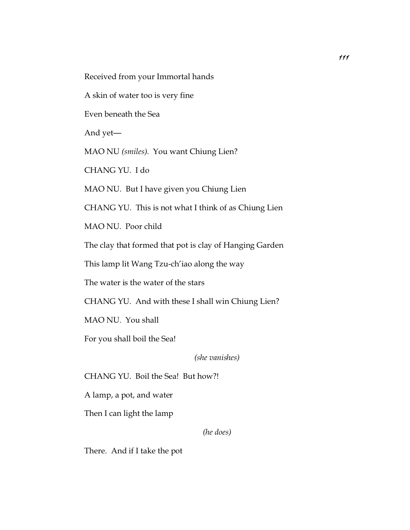Received from your Immortal hands

A skin of water too is very fine

Even beneath the Sea

And yet—

MAO NU *(smiles)*. You want Chiung Lien?

CHANG YU. I do

MAO NU. But I have given you Chiung Lien

CHANG YU. This is not what I think of as Chiung Lien

MAO NU. Poor child

The clay that formed that pot is clay of Hanging Garden

This lamp lit Wang Tzu-ch'iao along the way

The water is the water of the stars

CHANG YU. And with these I shall win Chiung Lien?

MAO NU. You shall

For you shall boil the Sea!

*(she vanishes)*

CHANG YU. Boil the Sea! But how?!

A lamp, a pot, and water

Then I can light the lamp

*(he does)*

There. And if I take the pot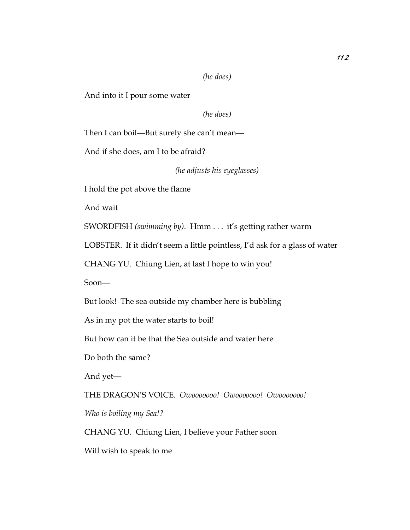#### *(he does)*

And into it I pour some water

*(he does)*

Then I can boil—But surely she can't mean—

And if she does, am I to be afraid?

*(he adjusts his eyeglasses)*

I hold the pot above the flame

And wait

SWORDFISH *(swimming by)*. Hmm . . . it's getting rather warm

LOBSTER. If it didn't seem a little pointless, I'd ask for a glass of water

CHANG YU. Chiung Lien, at last I hope to win you!

Soon—

But look! The sea outside my chamber here is bubbling

As in my pot the water starts to boil!

But how can it be that the Sea outside and water here

Do both the same?

And yet—

THE DRAGON'S VOICE. *Owooooooo! Owooooooo! Owooooooo!*

*Who is boiling my Sea!?*

CHANG YU. Chiung Lien, I believe your Father soon

Will wish to speak to me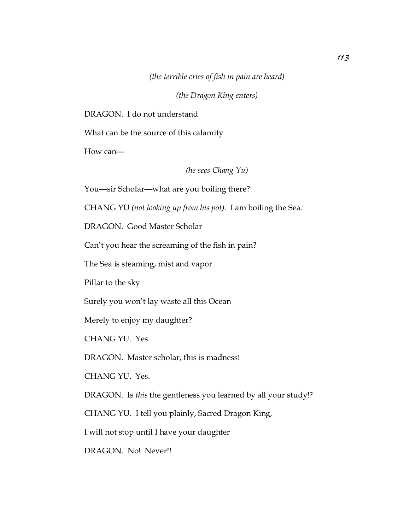*(the terrible cries of fish in pain are heard)*

*(the Dragon King enters)*

DRAGON. I do not understand

What can be the source of this calamity

How can—

*(he sees Chang Yu)*

You—sir Scholar—what are you boiling there?

CHANG YU *(not looking up from his pot)*. I am boiling the Sea.

DRAGON. Good Master Scholar

Can't you hear the screaming of the fish in pain?

The Sea is steaming, mist and vapor

Pillar to the sky

Surely you won't lay waste all this Ocean

Merely to enjoy my daughter?

CHANG YU. Yes.

DRAGON. Master scholar, this is madness!

CHANG YU. Yes.

DRAGON. Is *this* the gentleness you learned by all your study!?

CHANG YU. I tell you plainly, Sacred Dragon King,

I will not stop until I have your daughter

DRAGON. No! Never!!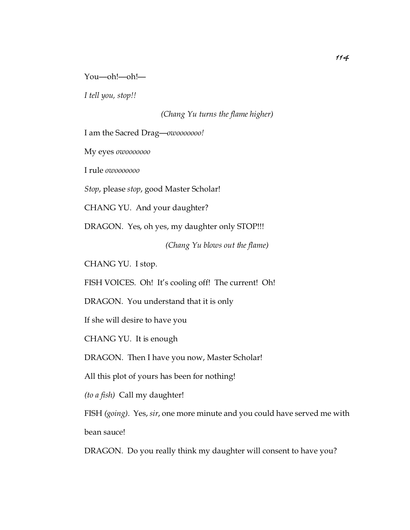#### You—oh!—oh!—

*I tell you, stop!!*

*(Chang Yu turns the flame higher)*

I am the Sacred Drag—*owooooooo!*

My eyes *owooooooo*

I rule *owooooooo*

*Stop*, please *stop*, good Master Scholar!

CHANG YU. And your daughter?

DRAGON. Yes, oh yes, my daughter only STOP!!!

*(Chang Yu blows out the flame)*

CHANG YU. I stop.

FISH VOICES. Oh! It's cooling off! The current! Oh!

DRAGON. You understand that it is only

If she will desire to have you

CHANG YU. It is enough

DRAGON. Then I have you now, Master Scholar!

All this plot of yours has been for nothing!

*(to a fish)* Call my daughter!

FISH *(going)*. Yes, *sir*, one more minute and you could have served me with bean sauce!

DRAGON. Do you really think my daughter will consent to have you?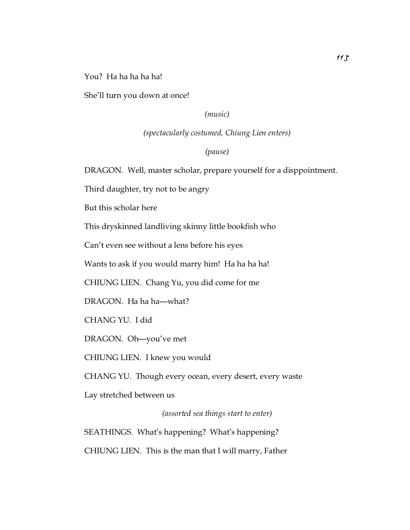You? Ha ha ha ha!

She'll turn you down at once!

*(music)*

*(spectacularly costumed, Chiung Lien enters)*

*(pause)*

DRAGON. Well, master scholar, prepare yourself for a disppointment.

Third daughter, try not to be angry

But this scholar here

This dryskinned landliving skinny little bookfish who

Can't even see without a lens before his eyes

Wants to ask if you would marry him! Ha ha ha ha!

CHIUNG LIEN. Chang Yu, you did come for me

DRAGON. Ha ha ha—what?

CHANG YU. I did

DRAGON. Oh—you've met

CHIUNG LIEN. I knew you would

CHANG YU. Though every ocean, every desert, every waste

Lay stretched between us

*(assorted sea things start to enter)*

SEATHINGS. What's happening? What's happening? CHIUNG LIEN. This is the man that I will marry, Father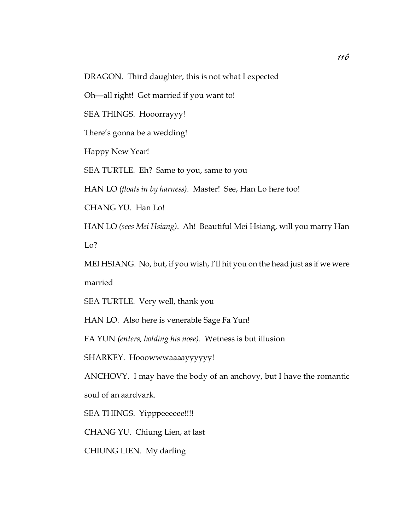DRAGON. Third daughter, this is not what I expected

Oh—all right! Get married if you want to!

SEA THINGS. Hooorrayyy!

There's gonna be a wedding!

Happy New Year!

SEA TURTLE. Eh? Same to you, same to you

HAN LO *(floats in by harness)*. Master! See, Han Lo here too!

CHANG YU. Han Lo!

HAN LO *(sees Mei Hsiang)*. Ah! Beautiful Mei Hsiang, will you marry Han Lo?

MEI HSIANG. No, but, if you wish, I'll hit you on the head just as if we were married

SEA TURTLE. Very well, thank you

HAN LO. Also here is venerable Sage Fa Yun!

FA YUN *(enters, holding his nose)*. Wetness is but illusion

SHARKEY. Hooowwwaaaayyyyyy!

ANCHOVY. I may have the body of an anchovy, but I have the romantic soul of an aardvark.

SEA THINGS. Yipppeeeeee!!!!

CHANG YU. Chiung Lien, at last

CHIUNG LIEN. My darling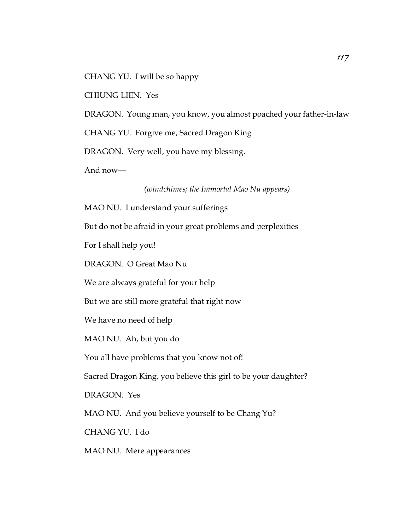CHANG YU. I will be so happy

CHIUNG LIEN. Yes

DRAGON. Young man, you know, you almost poached your father-in-law

CHANG YU. Forgive me, Sacred Dragon King

DRAGON. Very well, you have my blessing.

And now—

*(windchimes; the Immortal Mao Nu appears)*

MAO NU. I understand your sufferings

But do not be afraid in your great problems and perplexities

For I shall help you!

DRAGON. O Great Mao Nu

We are always grateful for your help

But we are still more grateful that right now

We have no need of help

MAO NU. Ah, but you do

You all have problems that you know not of!

Sacred Dragon King, you believe this girl to be your daughter?

DRAGON. Yes

MAO NU. And you believe yourself to be Chang Yu?

CHANG YU. I do

MAO NU. Mere appearances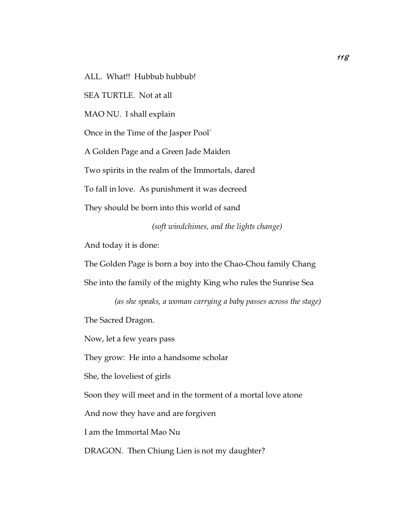ALL. What!! Hubbub hubbub!

SEA TURTLE. Not at all

MAO NU. I shall explain

Once in the Time of the Jasper Pool`

A Golden Page and a Green Jade Maiden

Two spirits in the realm of the Immortals, dared

To fall in love. As punishment it was decreed

They should be born into this world of sand

*(soft windchimes, and the lights change)*

And today it is done:

The Golden Page is born a boy into the Chao-Chou family Chang She into the family of the mighty King who rules the Sunrise Sea

*(as she speaks, a woman carrying a baby passes across the stage)* The Sacred Dragon.

Now, let a few years pass

They grow: He into a handsome scholar

She, the loveliest of girls

Soon they will meet and in the torment of a mortal love atone

And now they have and are forgiven

I am the Immortal Mao Nu

DRAGON. Then Chiung Lien is not my daughter?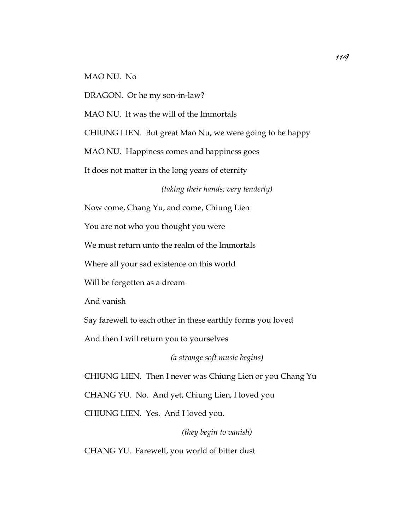MAO NU. No

DRAGON. Or he my son-in-law?

MAO NU. It was the will of the Immortals

CHIUNG LIEN. But great Mao Nu, we were going to be happy

MAO NU. Happiness comes and happiness goes

It does not matter in the long years of eternity

*(taking their hands; very tenderly)*

Now come, Chang Yu, and come, Chiung Lien

You are not who you thought you were

We must return unto the realm of the Immortals

Where all your sad existence on this world

Will be forgotten as a dream

And vanish

Say farewell to each other in these earthly forms you loved

And then I will return you to yourselves

*(a strange soft music begins)*

CHIUNG LIEN. Then I never was Chiung Lien or you Chang Yu CHANG YU. No. And yet, Chiung Lien, I loved you CHIUNG LIEN. Yes. And I loved you.

*(they begin to vanish)*

CHANG YU. Farewell, you world of bitter dust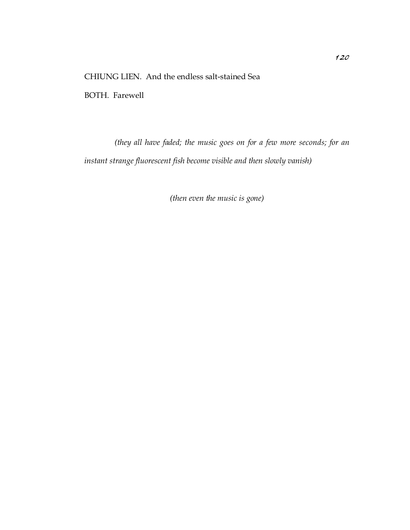### CHIUNG LIEN. And the endless salt-stained Sea

BOTH. Farewell

*(they all have faded; the music goes on for a few more seconds; for an instant strange fluorescent fish become visible and then slowly vanish)*

*(then even the music is gone)*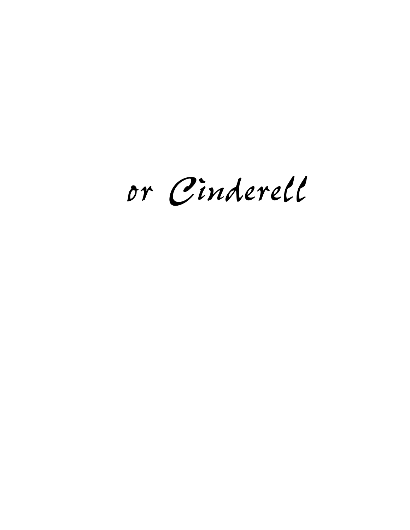*or Cinderell*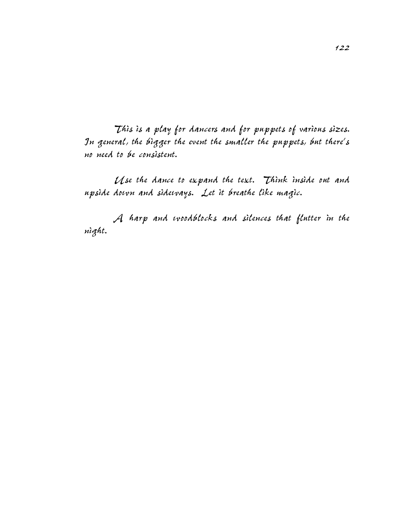*This is a play for dancers and for puppets of various sizes. In general, the bigger the event the smaller the puppets, but there's no need to be consistent.*

*Use the dance to expand the text. Think inside out and upside down and sideways. Let it breathe like magic.*

*A harp and woodblocks and silences that flutter in the night.*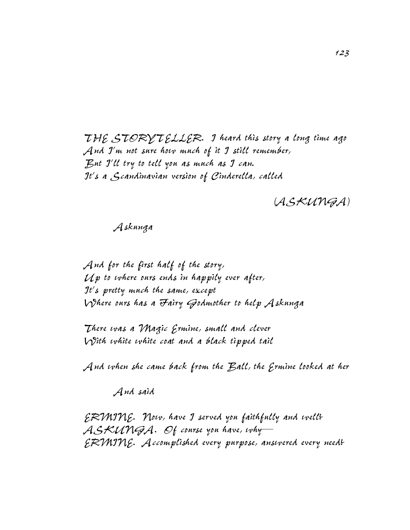*THE STORYTELLER. I heard this story a long time ago And I'm not sure how much of it I still remember, But I'll try to tell you as much as I can. It's a Scandinavian version of Cinderella, called*

*(ASKUNGA)*

#### *Askunga*

*And for the first half of the story, Up to where ours ends in happily ever after, It's pretty much the same, except Where ours has a Fairy Godmother to help Askunga*

*There was a Magic Ermine, small and clever With white white coat and a black tipped tail*

*And when she came back from the Ball, the Ermine looked at her*

*And said*

*ERMINE. Now, have I served you faithfully and well? ASKUNGA. Of course you have, why— ERMINE. Accomplished every purpose, answered every need?*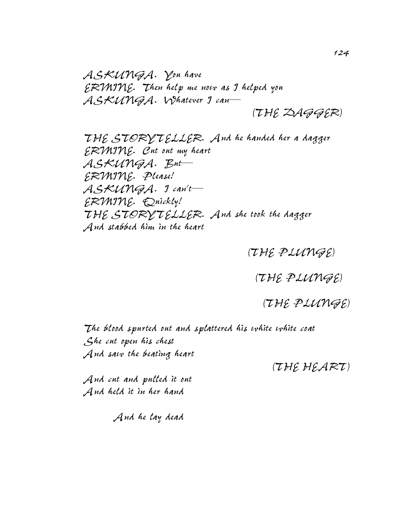*ASKUNGA. You have ERMINE. Then help me now as I helped you ASKUNGA. Whatever I can— (THE DAGGER)* 

*THE STORYTELLER. And he handed her a dagger ERMINE. Cut out my heart ASKUNGA. But— ERMINE. Please! ASKUNGA. I can't— ERMINE. Quickly! THE STORYTELLER. And she took the dagger And stabbed him in the heart*

*(THE PLUNGE)* 

*(THE PLUNGE)* 

*(THE PLUNGE)*

*The blood spurted out and splattered his white white coat She cut open his chest And saw the beating heart*

*(THE HEART)*

*And cut and pulled it out And held it in her hand*

*And he lay dead*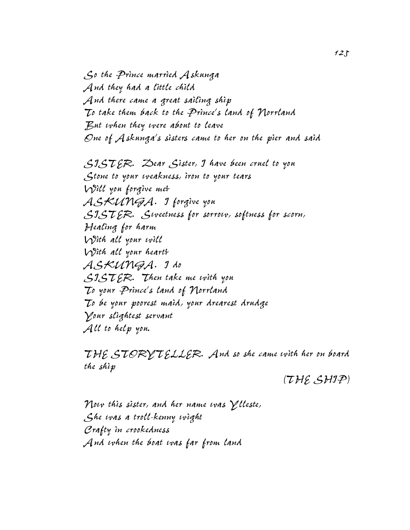*So the Prince married Askunga And they had a little child And there came a great sailing ship To take them back to the Prince's land of Norrland But when they were about to leave One of Askunga's sisters came to her on the pier and said*

*SISTER. Dear Sister, I have been cruel to you Stone to your weakness, iron to your tears Will you forgive me? ASKUNGA. I forgive you SISTER. Sweetness for sorrow, softness for scorn, Healing for harm With all your will With all your heart? ASKUNGA. I do SISTER. Then take me with you To your Prince's land of Norrland To be your poorest maid, your drearest drudge Your slightest servant All to help you.*

*THE STORYTELLER. And so she came with her on board the ship*

*(THE SHIP)*

*Now this sister, and her name was Ylleste, She was a troll-kenny wight Crafty in crookedness And when the boat was far from land*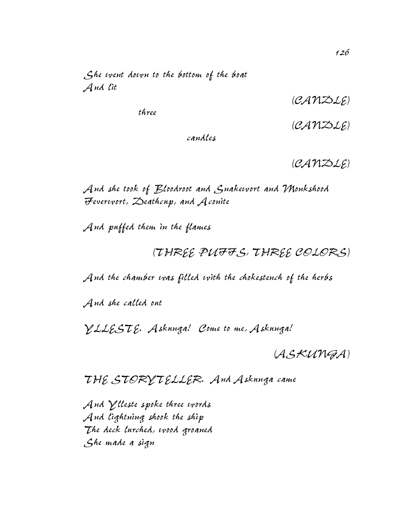*She went down to the bottom of the boat And lit* 

*(CANDLE)*

*three* 

*(CANDLE)*

*candles*

*(CANDLE)*

*And she took of Bloodroot and Snakewort and Monkshood Feverwort, Deathcup, and Aconite*

*And puffed them in the flames*

*(THREE PUFFS, THREE COLORS)*

*And the chamber was filled with the chokestench of the herbs*

*And she called out*

*YLLESTE. Askunga! Come to me, Askunga!*

*(ASKUNGA)*

*THE STORYTELLER. And Askunga came*

*And Ylleste spoke three words And lightning shook the ship The deck lurched, wood groaned She made a sign*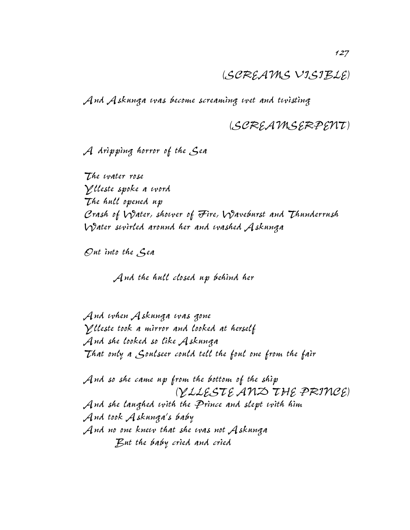### *(SCREAMS VISIBLE)*

*And Askunga was become screaming wet and twisting*

## *(SCREAMSERPENT)*

*A dripping horror of the Sea*

*The water rose Ylleste spoke a word The hull opened up Crash of Water, shower of Fire, Waveburst and Thunderrush Water swirled around her and washed Askunga*

*Out into the Sea*

*And the hull closed up behind her*

*And when Askunga was gone Ylleste took a mirror and looked at herself And she looked so like Askunga That only a Soulseer could tell the foul one from the fair*

*And so she came up from the bottom of the ship (YLLESTE AND THE PRINCE) And she laughed with the Prince and slept with him And took Askunga's baby And no one knew that she was not Askunga But the baby cried and cried*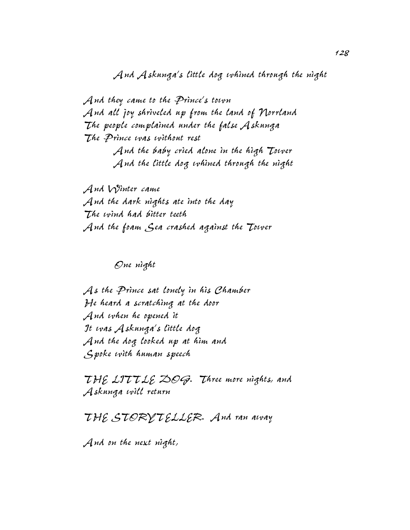*And Askunga's little dog whined through the night*

*And they came to the Prince's town And all joy shriveled up from the land of Norrland The people complained under the false Askunga The Prince was without rest And the baby cried alone in the high Tower And the little dog whined through the night*

*And Winter came And the dark nights ate into the day The wind had bitter teeth And the foam Sea crashed against the Tower*

*One night*

*As the Prince sat lonely in his Chamber He heard a scratching at the door And when he opened it It was Askunga's little dog And the dog looked up at him and Spoke with human speech*

*THE LITTLE DOG. Three more nights, and Askunga will return*

*THE STORYTELLER. And ran away*

*And on the next night,*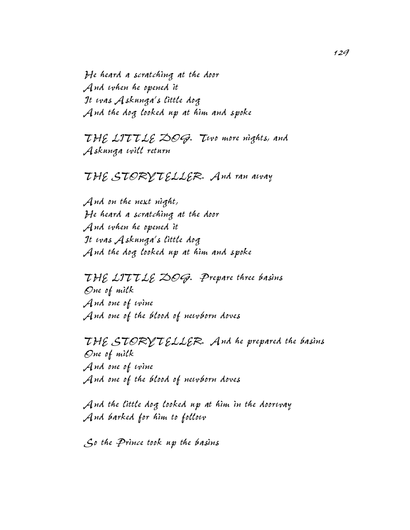*He heard a scratching at the door And when he opened it It was Askunga's little dog And the dog looked up at him and spoke*

*THE LITTLE DOG. Two more nights, and Askunga will return*

### *THE STORYTELLER. And ran away*

*And on the next night, He heard a scratching at the door And when he opened it It was Askunga's little dog And the dog looked up at him and spoke*

*THE LITTLE DOG. Prepare three basins One of milk And one of wine And one of the blood of newborn doves*

*THE STORYTELLER. And he prepared the basins One of milk And one of wine And one of the blood of newborn doves*

*And the little dog looked up at him in the doorway And barked for him to follow*

*So the Prince took up the basins*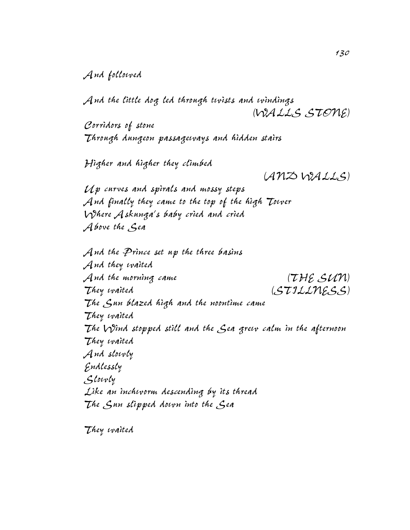#### *And followed*

*And the little dog led through twists and windings (WALLS STONE)*

*Corridors of stone Through dungeon passageways and hidden stairs*

*Higher and higher they climbed*

*(AND WALLS)*

*Up curves and spirals and mossy steps And finally they came to the top of the high Tower Where Askunga's baby cried and cried Above the Sea*

*And the Prince set up the three basins And they waited And the morning came (THE SUN) They waited (STILLNESS) The Sun blazed high and the noontime came They waited The Wind stopped still and the Sea grew calm in the afternoon They waited And slowly Endlessly Slowly Like an inchworm descending by its thread The Sun slipped down into the Sea*

*They waited*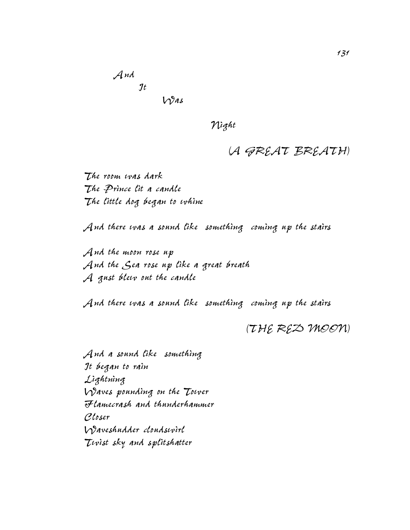*And It Was*

*Night*

# *(A GREAT BREATH)*

*The room was dark The Prince lit a candle The little dog began to whine*

*And there was a sound like something coming up the stairs*

*And the moon rose up And the Sea rose up like a great breath A gust blew out the candle*

*And there was a sound like something coming up the stairs*

*(THE RED MOON)*

*And a sound like something It began to rain Lightning Waves pounding on the Tower Flamecrash and thunderhammer Closer Waveshudder cloudswirl Twist sky and splitshatter*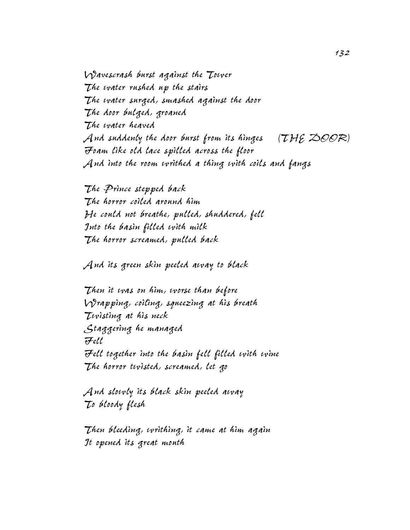*Wavescrash burst against the Tower The water rushed up the stairs The water surged, smashed against the door The door bulged, groaned The water heaved And suddenly the door burst from its hinges (THE DOOR) Foam like old lace spilled across the floor And into the room writhed a thing with coils and fangs*

*The Prince stepped back The horror coiled around him He could not breathe, pulled, shuddered, fell Into the basin filled with milk The horror screamed, pulled back*

*And its green skin peeled away to black*

*Then it was on him, worse than before Wrapping, coiling, squeezing at his breath Twisting at his neck Staggering he managed Fell Fell together into the basin fell filled with wine The horror twisted, screamed, let go*

*And slowly its black skin peeled away To bloody flesh*

*Then bleeding, writhing, it came at him again It opened its great mouth*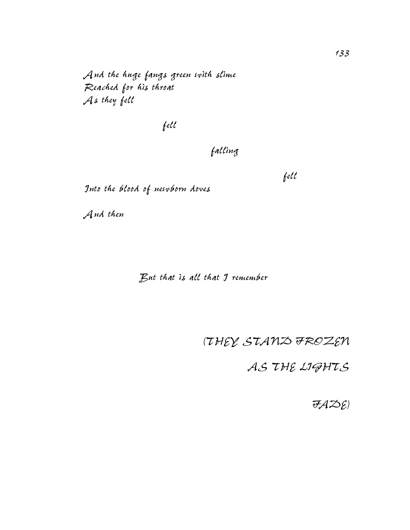*And the huge fangs green with slime Reached for his throat As they fell*

*fell* 

# *falling*

*Into the blood of newborn doves*

*And then*

*But that is all that I remember*

*(THEY STAND FROZEN*

*fell*

 *AS THE LIGHTS*

*FADE)*